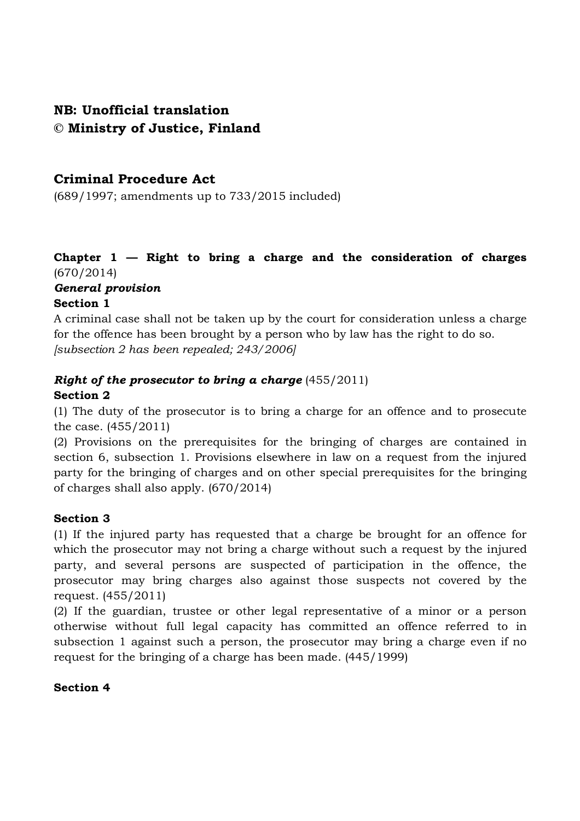# **NB: Unofficial translation © Ministry of Justice, Finland**

# **Criminal Procedure Act**

(689/1997; amendments up to 733/2015 included)

# **Chapter 1 — Right to bring a charge and the consideration of charges**  (670/2014)

# *General provision*

# **Section 1**

A criminal case shall not be taken up by the court for consideration unless a charge for the offence has been brought by a person who by law has the right to do so. *[subsection 2 has been repealed; 243/2006]*

#### *Right of the prosecutor to bring a charge* (455/2011) **Section 2**

(1) The duty of the prosecutor is to bring a charge for an offence and to prosecute the case. (455/2011)

(2) Provisions on the prerequisites for the bringing of charges are contained in section 6, subsection 1. Provisions elsewhere in law on a request from the injured party for the bringing of charges and on other special prerequisites for the bringing of charges shall also apply. (670/2014)

#### **Section 3**

(1) If the injured party has requested that a charge be brought for an offence for which the prosecutor may not bring a charge without such a request by the injured party, and several persons are suspected of participation in the offence, the prosecutor may bring charges also against those suspects not covered by the request. (455/2011)

(2) If the guardian, trustee or other legal representative of a minor or a person otherwise without full legal capacity has committed an offence referred to in subsection 1 against such a person, the prosecutor may bring a charge even if no request for the bringing of a charge has been made. (445/1999)

#### **Section 4**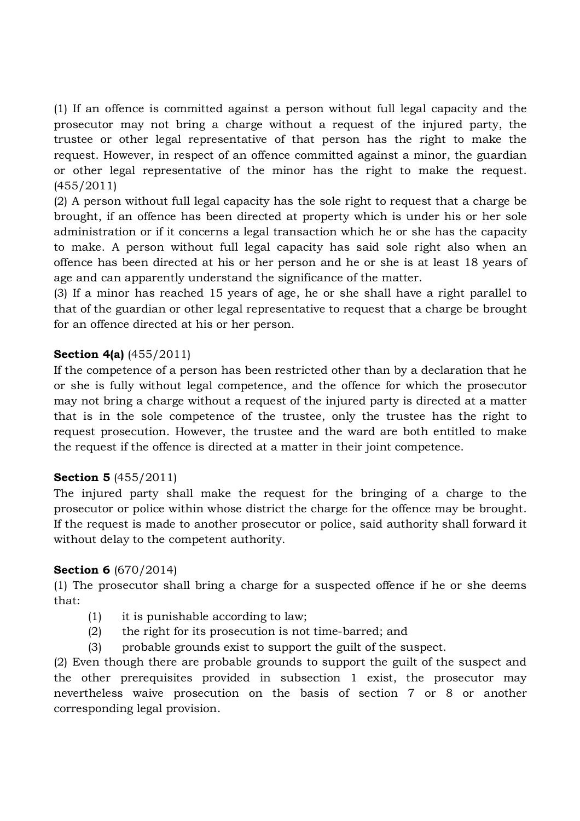(1) If an offence is committed against a person without full legal capacity and the prosecutor may not bring a charge without a request of the injured party, the trustee or other legal representative of that person has the right to make the request. However, in respect of an offence committed against a minor, the guardian or other legal representative of the minor has the right to make the request. (455/2011)

(2) A person without full legal capacity has the sole right to request that a charge be brought, if an offence has been directed at property which is under his or her sole administration or if it concerns a legal transaction which he or she has the capacity to make. A person without full legal capacity has said sole right also when an offence has been directed at his or her person and he or she is at least 18 years of age and can apparently understand the significance of the matter.

(3) If a minor has reached 15 years of age, he or she shall have a right parallel to that of the guardian or other legal representative to request that a charge be brought for an offence directed at his or her person.

# **Section 4(a)** (455/2011)

If the competence of a person has been restricted other than by a declaration that he or she is fully without legal competence, and the offence for which the prosecutor may not bring a charge without a request of the injured party is directed at a matter that is in the sole competence of the trustee, only the trustee has the right to request prosecution. However, the trustee and the ward are both entitled to make the request if the offence is directed at a matter in their joint competence.

# **Section 5** (455/2011)

The injured party shall make the request for the bringing of a charge to the prosecutor or police within whose district the charge for the offence may be brought. If the request is made to another prosecutor or police, said authority shall forward it without delay to the competent authority.

#### **Section 6** (670/2014)

(1) The prosecutor shall bring a charge for a suspected offence if he or she deems that:

- (1) it is punishable according to law;
- (2) the right for its prosecution is not time-barred; and
- (3) probable grounds exist to support the guilt of the suspect.

(2) Even though there are probable grounds to support the guilt of the suspect and the other prerequisites provided in subsection 1 exist, the prosecutor may nevertheless waive prosecution on the basis of section 7 or 8 or another corresponding legal provision.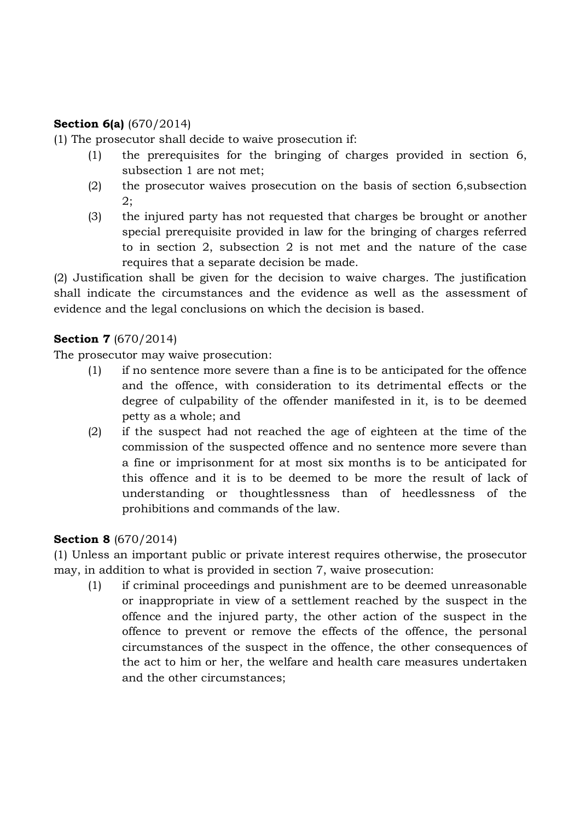### **Section 6(a)** (670/2014)

(1) The prosecutor shall decide to waive prosecution if:

- (1) the prerequisites for the bringing of charges provided in section 6, subsection 1 are not met;
- (2) the prosecutor waives prosecution on the basis of section 6,subsection 2;
- (3) the injured party has not requested that charges be brought or another special prerequisite provided in law for the bringing of charges referred to in section 2, subsection 2 is not met and the nature of the case requires that a separate decision be made.

(2) Justification shall be given for the decision to waive charges. The justification shall indicate the circumstances and the evidence as well as the assessment of evidence and the legal conclusions on which the decision is based.

# **Section 7** (670/2014)

The prosecutor may waive prosecution:

- (1) if no sentence more severe than a fine is to be anticipated for the offence and the offence, with consideration to its detrimental effects or the degree of culpability of the offender manifested in it, is to be deemed petty as a whole; and
- (2) if the suspect had not reached the age of eighteen at the time of the commission of the suspected offence and no sentence more severe than a fine or imprisonment for at most six months is to be anticipated for this offence and it is to be deemed to be more the result of lack of understanding or thoughtlessness than of heedlessness of the prohibitions and commands of the law.

# **Section 8** (670/2014)

(1) Unless an important public or private interest requires otherwise, the prosecutor may, in addition to what is provided in section 7, waive prosecution:

(1) if criminal proceedings and punishment are to be deemed unreasonable or inappropriate in view of a settlement reached by the suspect in the offence and the injured party, the other action of the suspect in the offence to prevent or remove the effects of the offence, the personal circumstances of the suspect in the offence, the other consequences of the act to him or her, the welfare and health care measures undertaken and the other circumstances;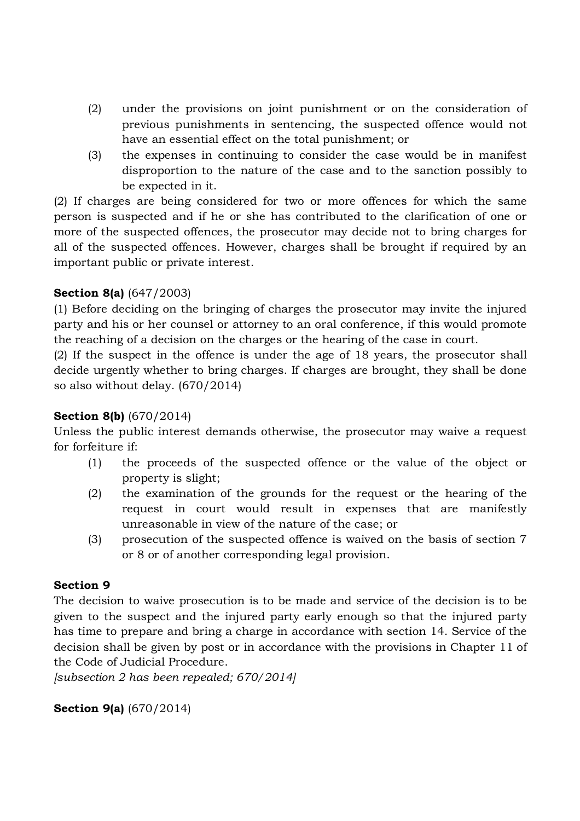- (2) under the provisions on joint punishment or on the consideration of previous punishments in sentencing, the suspected offence would not have an essential effect on the total punishment; or
- (3) the expenses in continuing to consider the case would be in manifest disproportion to the nature of the case and to the sanction possibly to be expected in it.

(2) If charges are being considered for two or more offences for which the same person is suspected and if he or she has contributed to the clarification of one or more of the suspected offences, the prosecutor may decide not to bring charges for all of the suspected offences. However, charges shall be brought if required by an important public or private interest.

# **Section 8(a)** (647/2003)

(1) Before deciding on the bringing of charges the prosecutor may invite the injured party and his or her counsel or attorney to an oral conference, if this would promote the reaching of a decision on the charges or the hearing of the case in court.

(2) If the suspect in the offence is under the age of 18 years, the prosecutor shall decide urgently whether to bring charges. If charges are brought, they shall be done so also without delay. (670/2014)

# **Section 8(b)** (670/2014)

Unless the public interest demands otherwise, the prosecutor may waive a request for forfeiture if:

- (1) the proceeds of the suspected offence or the value of the object or property is slight;
- (2) the examination of the grounds for the request or the hearing of the request in court would result in expenses that are manifestly unreasonable in view of the nature of the case; or
- (3) prosecution of the suspected offence is waived on the basis of section 7 or 8 or of another corresponding legal provision.

#### **Section 9**

The decision to waive prosecution is to be made and service of the decision is to be given to the suspect and the injured party early enough so that the injured party has time to prepare and bring a charge in accordance with section 14. Service of the decision shall be given by post or in accordance with the provisions in Chapter 11 of the Code of Judicial Procedure.

*[subsection 2 has been repealed; 670/2014]*

**Section 9(a)** (670/2014)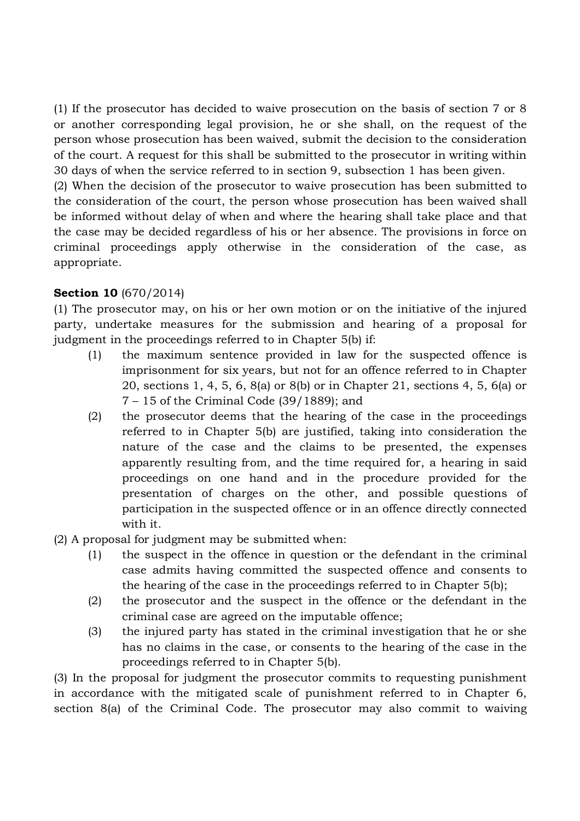(1) If the prosecutor has decided to waive prosecution on the basis of section 7 or 8 or another corresponding legal provision, he or she shall, on the request of the person whose prosecution has been waived, submit the decision to the consideration of the court. A request for this shall be submitted to the prosecutor in writing within 30 days of when the service referred to in section 9, subsection 1 has been given.

(2) When the decision of the prosecutor to waive prosecution has been submitted to the consideration of the court, the person whose prosecution has been waived shall be informed without delay of when and where the hearing shall take place and that the case may be decided regardless of his or her absence. The provisions in force on criminal proceedings apply otherwise in the consideration of the case, as appropriate.

### **Section 10** (670/2014)

(1) The prosecutor may, on his or her own motion or on the initiative of the injured party, undertake measures for the submission and hearing of a proposal for judgment in the proceedings referred to in Chapter 5(b) if:

- (1) the maximum sentence provided in law for the suspected offence is imprisonment for six years, but not for an offence referred to in Chapter 20, sections 1, 4, 5, 6, 8(a) or 8(b) or in Chapter 21, sections 4, 5, 6(a) or 7 – 15 of the Criminal Code (39/1889); and
- (2) the prosecutor deems that the hearing of the case in the proceedings referred to in Chapter 5(b) are justified, taking into consideration the nature of the case and the claims to be presented, the expenses apparently resulting from, and the time required for, a hearing in said proceedings on one hand and in the procedure provided for the presentation of charges on the other, and possible questions of participation in the suspected offence or in an offence directly connected with it.
- (2) A proposal for judgment may be submitted when:
	- (1) the suspect in the offence in question or the defendant in the criminal case admits having committed the suspected offence and consents to the hearing of the case in the proceedings referred to in Chapter 5(b);
	- (2) the prosecutor and the suspect in the offence or the defendant in the criminal case are agreed on the imputable offence;
	- (3) the injured party has stated in the criminal investigation that he or she has no claims in the case, or consents to the hearing of the case in the proceedings referred to in Chapter 5(b).

(3) In the proposal for judgment the prosecutor commits to requesting punishment in accordance with the mitigated scale of punishment referred to in Chapter 6, section 8(a) of the Criminal Code. The prosecutor may also commit to waiving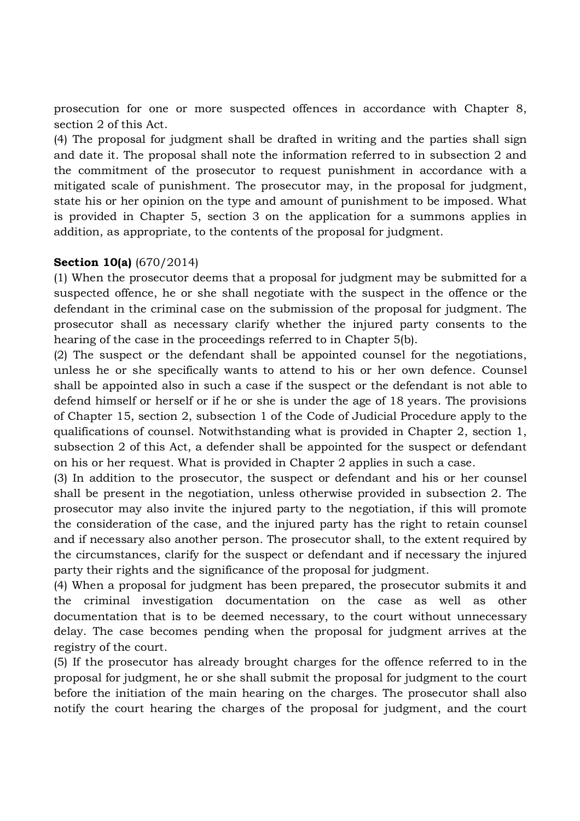prosecution for one or more suspected offences in accordance with Chapter 8, section 2 of this Act.

(4) The proposal for judgment shall be drafted in writing and the parties shall sign and date it. The proposal shall note the information referred to in subsection 2 and the commitment of the prosecutor to request punishment in accordance with a mitigated scale of punishment. The prosecutor may, in the proposal for judgment, state his or her opinion on the type and amount of punishment to be imposed. What is provided in Chapter 5, section 3 on the application for a summons applies in addition, as appropriate, to the contents of the proposal for judgment.

### **Section 10(a)** (670/2014)

(1) When the prosecutor deems that a proposal for judgment may be submitted for a suspected offence, he or she shall negotiate with the suspect in the offence or the defendant in the criminal case on the submission of the proposal for judgment. The prosecutor shall as necessary clarify whether the injured party consents to the hearing of the case in the proceedings referred to in Chapter 5(b).

(2) The suspect or the defendant shall be appointed counsel for the negotiations, unless he or she specifically wants to attend to his or her own defence. Counsel shall be appointed also in such a case if the suspect or the defendant is not able to defend himself or herself or if he or she is under the age of 18 years. The provisions of Chapter 15, section 2, subsection 1 of the Code of Judicial Procedure apply to the qualifications of counsel. Notwithstanding what is provided in Chapter 2, section 1, subsection 2 of this Act, a defender shall be appointed for the suspect or defendant on his or her request. What is provided in Chapter 2 applies in such a case.

(3) In addition to the prosecutor, the suspect or defendant and his or her counsel shall be present in the negotiation, unless otherwise provided in subsection 2. The prosecutor may also invite the injured party to the negotiation, if this will promote the consideration of the case, and the injured party has the right to retain counsel and if necessary also another person. The prosecutor shall, to the extent required by the circumstances, clarify for the suspect or defendant and if necessary the injured party their rights and the significance of the proposal for judgment.

(4) When a proposal for judgment has been prepared, the prosecutor submits it and the criminal investigation documentation on the case as well as other documentation that is to be deemed necessary, to the court without unnecessary delay. The case becomes pending when the proposal for judgment arrives at the registry of the court.

(5) If the prosecutor has already brought charges for the offence referred to in the proposal for judgment, he or she shall submit the proposal for judgment to the court before the initiation of the main hearing on the charges. The prosecutor shall also notify the court hearing the charges of the proposal for judgment, and the court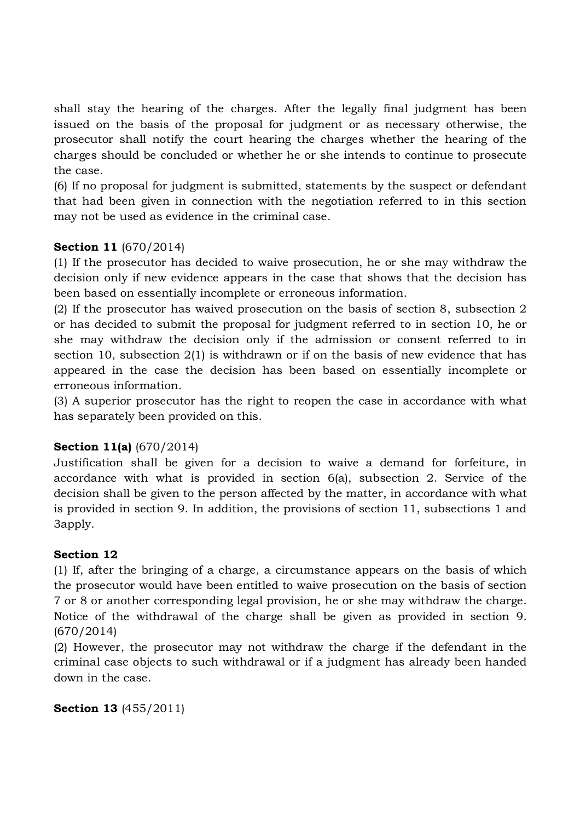shall stay the hearing of the charges. After the legally final judgment has been issued on the basis of the proposal for judgment or as necessary otherwise, the prosecutor shall notify the court hearing the charges whether the hearing of the charges should be concluded or whether he or she intends to continue to prosecute the case.

(6) If no proposal for judgment is submitted, statements by the suspect or defendant that had been given in connection with the negotiation referred to in this section may not be used as evidence in the criminal case.

# **Section 11** (670/2014)

(1) If the prosecutor has decided to waive prosecution, he or she may withdraw the decision only if new evidence appears in the case that shows that the decision has been based on essentially incomplete or erroneous information.

(2) If the prosecutor has waived prosecution on the basis of section 8, subsection 2 or has decided to submit the proposal for judgment referred to in section 10, he or she may withdraw the decision only if the admission or consent referred to in section 10, subsection 2(1) is withdrawn or if on the basis of new evidence that has appeared in the case the decision has been based on essentially incomplete or erroneous information.

(3) A superior prosecutor has the right to reopen the case in accordance with what has separately been provided on this.

# **Section 11(a)** (670/2014)

Justification shall be given for a decision to waive a demand for forfeiture, in accordance with what is provided in section 6(a), subsection 2. Service of the decision shall be given to the person affected by the matter, in accordance with what is provided in section 9. In addition, the provisions of section 11, subsections 1 and 3apply.

# **Section 12**

(1) If, after the bringing of a charge, a circumstance appears on the basis of which the prosecutor would have been entitled to waive prosecution on the basis of section 7 or 8 or another corresponding legal provision, he or she may withdraw the charge. Notice of the withdrawal of the charge shall be given as provided in section 9. (670/2014)

(2) However, the prosecutor may not withdraw the charge if the defendant in the criminal case objects to such withdrawal or if a judgment has already been handed down in the case.

```
Section 13 (455/2011)
```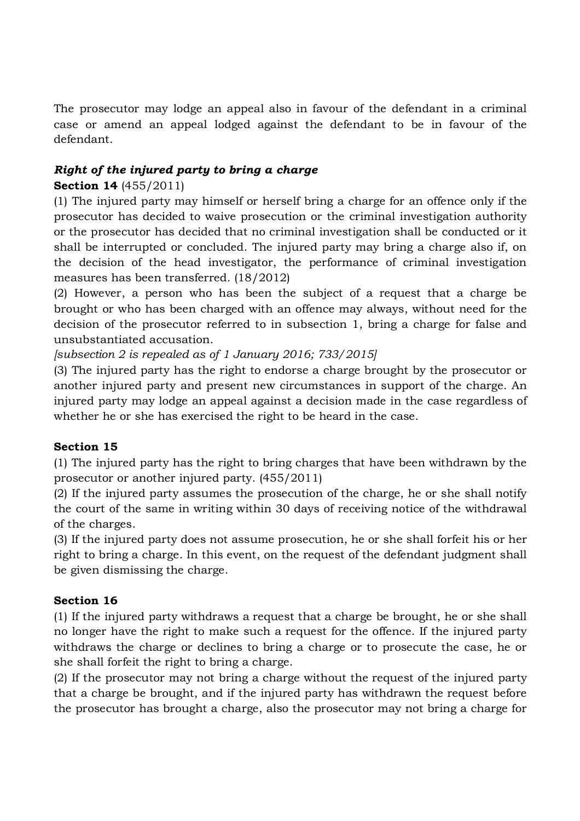The prosecutor may lodge an appeal also in favour of the defendant in a criminal case or amend an appeal lodged against the defendant to be in favour of the defendant.

# *Right of the injured party to bring a charge*

# **Section 14** (455/2011)

(1) The injured party may himself or herself bring a charge for an offence only if the prosecutor has decided to waive prosecution or the criminal investigation authority or the prosecutor has decided that no criminal investigation shall be conducted or it shall be interrupted or concluded. The injured party may bring a charge also if, on the decision of the head investigator, the performance of criminal investigation measures has been transferred. (18/2012)

(2) However, a person who has been the subject of a request that a charge be brought or who has been charged with an offence may always, without need for the decision of the prosecutor referred to in subsection 1, bring a charge for false and unsubstantiated accusation.

*[subsection 2 is repealed as of 1 January 2016; 733/2015]*

(3) The injured party has the right to endorse a charge brought by the prosecutor or another injured party and present new circumstances in support of the charge. An injured party may lodge an appeal against a decision made in the case regardless of whether he or she has exercised the right to be heard in the case.

# **Section 15**

(1) The injured party has the right to bring charges that have been withdrawn by the prosecutor or another injured party. (455/2011)

(2) If the injured party assumes the prosecution of the charge, he or she shall notify the court of the same in writing within 30 days of receiving notice of the withdrawal of the charges.

(3) If the injured party does not assume prosecution, he or she shall forfeit his or her right to bring a charge. In this event, on the request of the defendant judgment shall be given dismissing the charge.

# **Section 16**

(1) If the injured party withdraws a request that a charge be brought, he or she shall no longer have the right to make such a request for the offence. If the injured party withdraws the charge or declines to bring a charge or to prosecute the case, he or she shall forfeit the right to bring a charge.

(2) If the prosecutor may not bring a charge without the request of the injured party that a charge be brought, and if the injured party has withdrawn the request before the prosecutor has brought a charge, also the prosecutor may not bring a charge for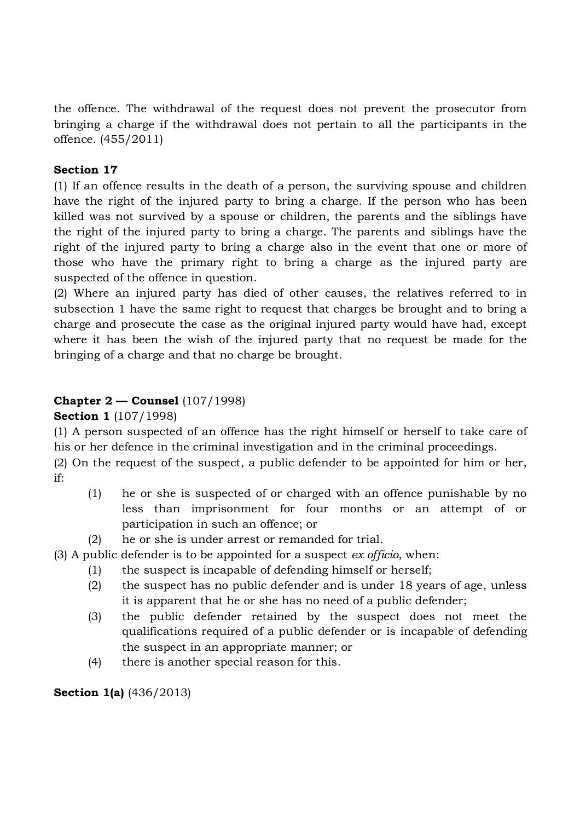the offence. The withdrawal of the request does not prevent the prosecutor from bringing a charge if the withdrawal does not pertain to all the participants in the offence. (455/2011)

# **Section 17**

(1) If an offence results in the death of a person, the surviving spouse and children have the right of the injured party to bring a charge. If the person who has been killed was not survived by a spouse or children, the parents and the siblings have the right of the injured party to bring a charge. The parents and siblings have the right of the injured party to bring a charge also in the event that one or more of those who have the primary right to bring a charge as the injured party are suspected of the offence in question.

(2) Where an injured party has died of other causes, the relatives referred to in subsection 1 have the same right to request that charges be brought and to bring a charge and prosecute the case as the original injured party would have had, except where it has been the wish of the injured party that no request be made for the bringing of a charge and that no charge be brought.

# **Chapter 2 — Counsel** (107/1998)

**Section 1** (107/1998)

(1) A person suspected of an offence has the right himself or herself to take care of his or her defence in the criminal investigation and in the criminal proceedings.

(2) On the request of the suspect, a public defender to be appointed for him or her, if:

- (1) he or she is suspected of or charged with an offence punishable by no less than imprisonment for four months or an attempt of or participation in such an offence; or
- (2) he or she is under arrest or remanded for trial.

(3) A public defender is to be appointed for a suspect *ex officio*, when:

- (1) the suspect is incapable of defending himself or herself;
- (2) the suspect has no public defender and is under 18 years of age, unless it is apparent that he or she has no need of a public defender;
- (3) the public defender retained by the suspect does not meet the qualifications required of a public defender or is incapable of defending the suspect in an appropriate manner; or
- (4) there is another special reason for this.

**Section 1(a)** (436/2013)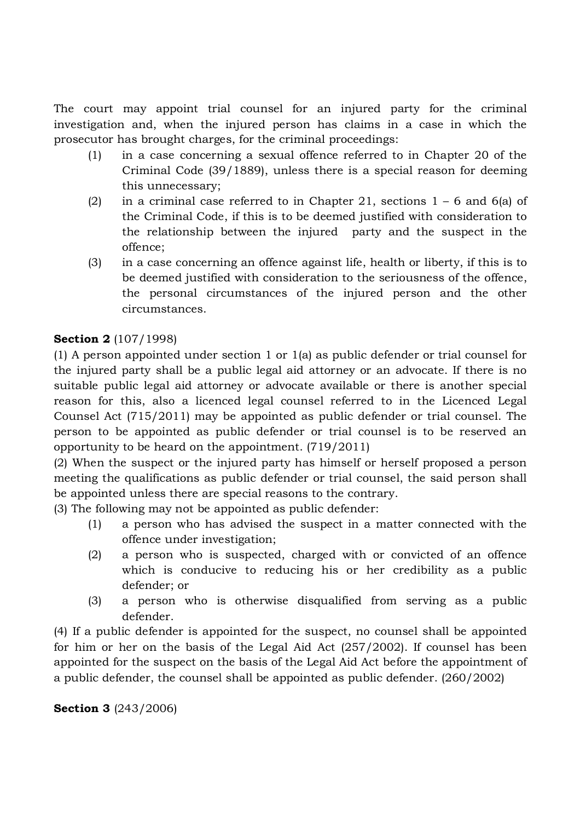The court may appoint trial counsel for an injured party for the criminal investigation and, when the injured person has claims in a case in which the prosecutor has brought charges, for the criminal proceedings:

- (1) in a case concerning a sexual offence referred to in Chapter 20 of the Criminal Code (39/1889), unless there is a special reason for deeming this unnecessary;
- (2) in a criminal case referred to in Chapter 21, sections  $1 6$  and  $6(a)$  of the Criminal Code, if this is to be deemed justified with consideration to the relationship between the injured party and the suspect in the offence;
- (3) in a case concerning an offence against life, health or liberty, if this is to be deemed justified with consideration to the seriousness of the offence, the personal circumstances of the injured person and the other circumstances.

# **Section 2** (107/1998)

(1) A person appointed under section 1 or 1(a) as public defender or trial counsel for the injured party shall be a public legal aid attorney or an advocate. If there is no suitable public legal aid attorney or advocate available or there is another special reason for this, also a licenced legal counsel referred to in the Licenced Legal Counsel Act (715/2011) may be appointed as public defender or trial counsel. The person to be appointed as public defender or trial counsel is to be reserved an opportunity to be heard on the appointment. (719/2011)

(2) When the suspect or the injured party has himself or herself proposed a person meeting the qualifications as public defender or trial counsel, the said person shall be appointed unless there are special reasons to the contrary.

(3) The following may not be appointed as public defender:

- (1) a person who has advised the suspect in a matter connected with the offence under investigation;
- (2) a person who is suspected, charged with or convicted of an offence which is conducive to reducing his or her credibility as a public defender; or
- (3) a person who is otherwise disqualified from serving as a public defender.

(4) If a public defender is appointed for the suspect, no counsel shall be appointed for him or her on the basis of the Legal Aid Act (257/2002). If counsel has been appointed for the suspect on the basis of the Legal Aid Act before the appointment of a public defender, the counsel shall be appointed as public defender. (260/2002)

# **Section 3** (243/2006)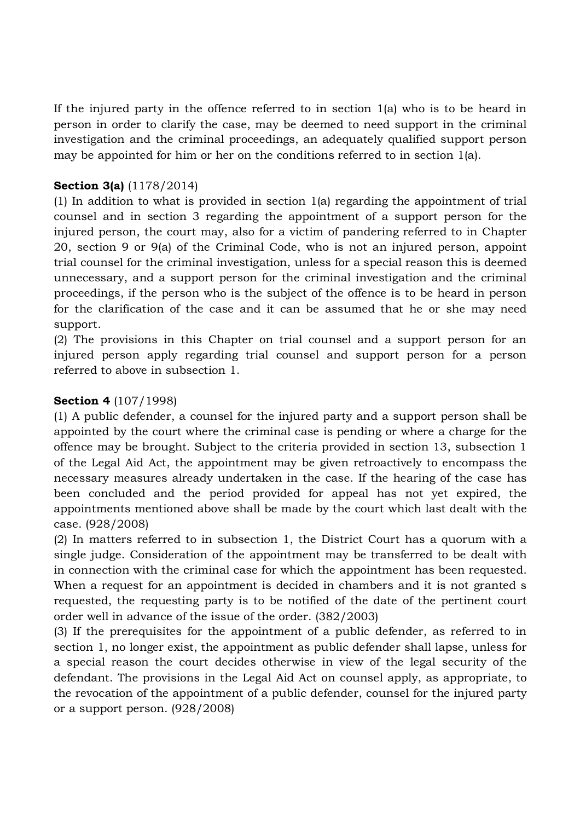If the injured party in the offence referred to in section 1(a) who is to be heard in person in order to clarify the case, may be deemed to need support in the criminal investigation and the criminal proceedings, an adequately qualified support person may be appointed for him or her on the conditions referred to in section 1(a).

### **Section 3(a)** (1178/2014)

(1) In addition to what is provided in section 1(a) regarding the appointment of trial counsel and in section 3 regarding the appointment of a support person for the injured person, the court may, also for a victim of pandering referred to in Chapter 20, section 9 or 9(a) of the Criminal Code, who is not an injured person, appoint trial counsel for the criminal investigation, unless for a special reason this is deemed unnecessary, and a support person for the criminal investigation and the criminal proceedings, if the person who is the subject of the offence is to be heard in person for the clarification of the case and it can be assumed that he or she may need support.

(2) The provisions in this Chapter on trial counsel and a support person for an injured person apply regarding trial counsel and support person for a person referred to above in subsection 1.

### **Section 4** (107/1998)

(1) A public defender, a counsel for the injured party and a support person shall be appointed by the court where the criminal case is pending or where a charge for the offence may be brought. Subject to the criteria provided in section 13, subsection 1 of the Legal Aid Act, the appointment may be given retroactively to encompass the necessary measures already undertaken in the case. If the hearing of the case has been concluded and the period provided for appeal has not yet expired, the appointments mentioned above shall be made by the court which last dealt with the case. (928/2008)

(2) In matters referred to in subsection 1, the District Court has a quorum with a single judge. Consideration of the appointment may be transferred to be dealt with in connection with the criminal case for which the appointment has been requested. When a request for an appointment is decided in chambers and it is not granted s requested, the requesting party is to be notified of the date of the pertinent court order well in advance of the issue of the order. (382/2003)

(3) If the prerequisites for the appointment of a public defender, as referred to in section 1, no longer exist, the appointment as public defender shall lapse, unless for a special reason the court decides otherwise in view of the legal security of the defendant. The provisions in the Legal Aid Act on counsel apply, as appropriate, to the revocation of the appointment of a public defender, counsel for the injured party or a support person. (928/2008)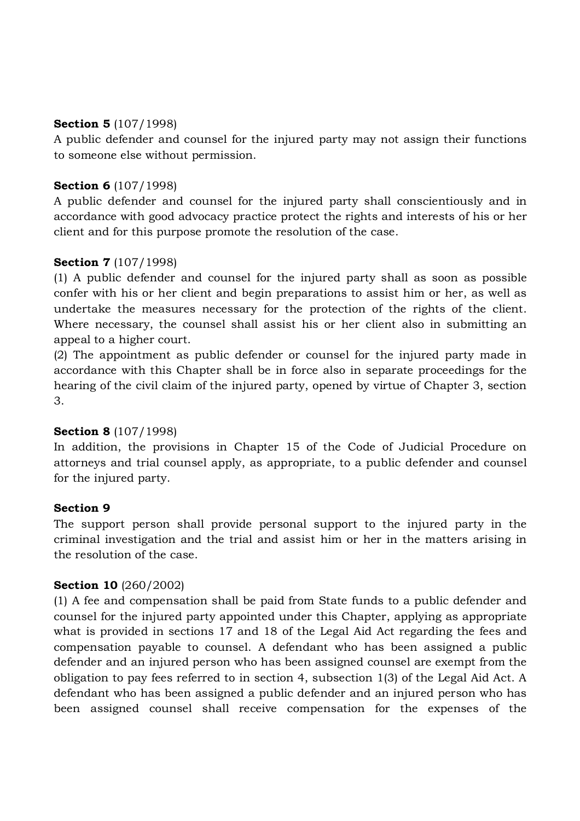### **Section 5** (107/1998)

A public defender and counsel for the injured party may not assign their functions to someone else without permission.

# **Section 6** (107/1998)

A public defender and counsel for the injured party shall conscientiously and in accordance with good advocacy practice protect the rights and interests of his or her client and for this purpose promote the resolution of the case.

# **Section 7** (107/1998)

(1) A public defender and counsel for the injured party shall as soon as possible confer with his or her client and begin preparations to assist him or her, as well as undertake the measures necessary for the protection of the rights of the client. Where necessary, the counsel shall assist his or her client also in submitting an appeal to a higher court.

(2) The appointment as public defender or counsel for the injured party made in accordance with this Chapter shall be in force also in separate proceedings for the hearing of the civil claim of the injured party, opened by virtue of Chapter 3, section 3.

# **Section 8** (107/1998)

In addition, the provisions in Chapter 15 of the Code of Judicial Procedure on attorneys and trial counsel apply, as appropriate, to a public defender and counsel for the injured party.

# **Section 9**

The support person shall provide personal support to the injured party in the criminal investigation and the trial and assist him or her in the matters arising in the resolution of the case.

# **Section 10** (260/2002)

(1) A fee and compensation shall be paid from State funds to a public defender and counsel for the injured party appointed under this Chapter, applying as appropriate what is provided in sections 17 and 18 of the Legal Aid Act regarding the fees and compensation payable to counsel. A defendant who has been assigned a public defender and an injured person who has been assigned counsel are exempt from the obligation to pay fees referred to in section 4, subsection 1(3) of the Legal Aid Act. A defendant who has been assigned a public defender and an injured person who has been assigned counsel shall receive compensation for the expenses of the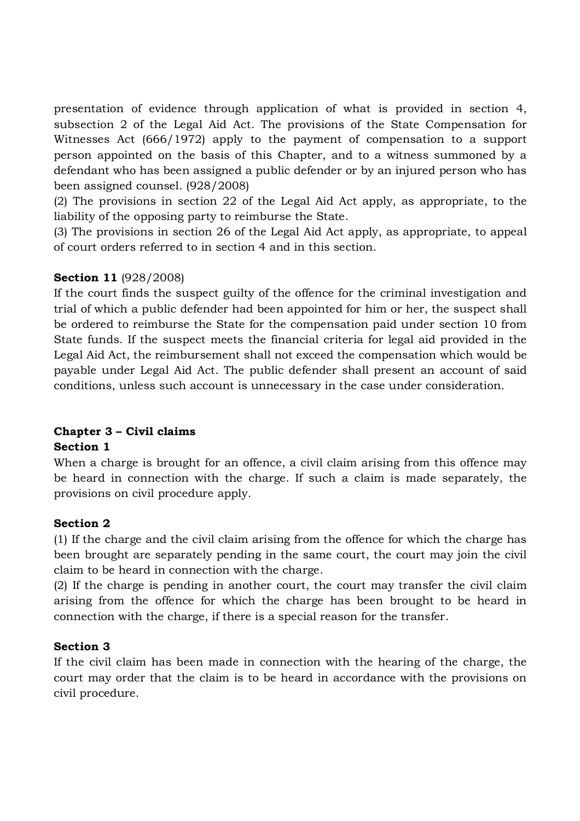presentation of evidence through application of what is provided in section 4, subsection 2 of the Legal Aid Act. The provisions of the State Compensation for Witnesses Act (666/1972) apply to the payment of compensation to a support person appointed on the basis of this Chapter, and to a witness summoned by a defendant who has been assigned a public defender or by an injured person who has been assigned counsel. (928/2008)

(2) The provisions in section 22 of the Legal Aid Act apply, as appropriate, to the liability of the opposing party to reimburse the State.

(3) The provisions in section 26 of the Legal Aid Act apply, as appropriate, to appeal of court orders referred to in section 4 and in this section.

# **Section 11** (928/2008)

If the court finds the suspect guilty of the offence for the criminal investigation and trial of which a public defender had been appointed for him or her, the suspect shall be ordered to reimburse the State for the compensation paid under section 10 from State funds. If the suspect meets the financial criteria for legal aid provided in the Legal Aid Act, the reimbursement shall not exceed the compensation which would be payable under Legal Aid Act. The public defender shall present an account of said conditions, unless such account is unnecessary in the case under consideration.

# **Chapter 3 – Civil claims**

# **Section 1**

When a charge is brought for an offence, a civil claim arising from this offence may be heard in connection with the charge. If such a claim is made separately, the provisions on civil procedure apply.

# **Section 2**

(1) If the charge and the civil claim arising from the offence for which the charge has been brought are separately pending in the same court, the court may join the civil claim to be heard in connection with the charge.

(2) If the charge is pending in another court, the court may transfer the civil claim arising from the offence for which the charge has been brought to be heard in connection with the charge, if there is a special reason for the transfer.

# **Section 3**

If the civil claim has been made in connection with the hearing of the charge, the court may order that the claim is to be heard in accordance with the provisions on civil procedure.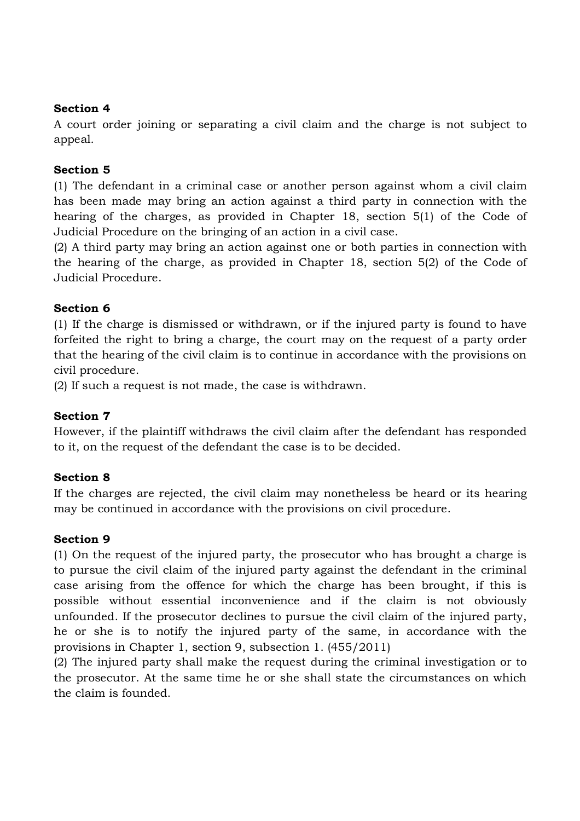#### **Section 4**

A court order joining or separating a civil claim and the charge is not subject to appeal.

#### **Section 5**

(1) The defendant in a criminal case or another person against whom a civil claim has been made may bring an action against a third party in connection with the hearing of the charges, as provided in Chapter 18, section 5(1) of the Code of Judicial Procedure on the bringing of an action in a civil case.

(2) A third party may bring an action against one or both parties in connection with the hearing of the charge, as provided in Chapter 18, section 5(2) of the Code of Judicial Procedure.

#### **Section 6**

(1) If the charge is dismissed or withdrawn, or if the injured party is found to have forfeited the right to bring a charge, the court may on the request of a party order that the hearing of the civil claim is to continue in accordance with the provisions on civil procedure.

(2) If such a request is not made, the case is withdrawn.

#### **Section 7**

However, if the plaintiff withdraws the civil claim after the defendant has responded to it, on the request of the defendant the case is to be decided.

#### **Section 8**

If the charges are rejected, the civil claim may nonetheless be heard or its hearing may be continued in accordance with the provisions on civil procedure.

#### **Section 9**

(1) On the request of the injured party, the prosecutor who has brought a charge is to pursue the civil claim of the injured party against the defendant in the criminal case arising from the offence for which the charge has been brought, if this is possible without essential inconvenience and if the claim is not obviously unfounded. If the prosecutor declines to pursue the civil claim of the injured party, he or she is to notify the injured party of the same, in accordance with the provisions in Chapter 1, section 9, subsection 1. (455/2011)

(2) The injured party shall make the request during the criminal investigation or to the prosecutor. At the same time he or she shall state the circumstances on which the claim is founded.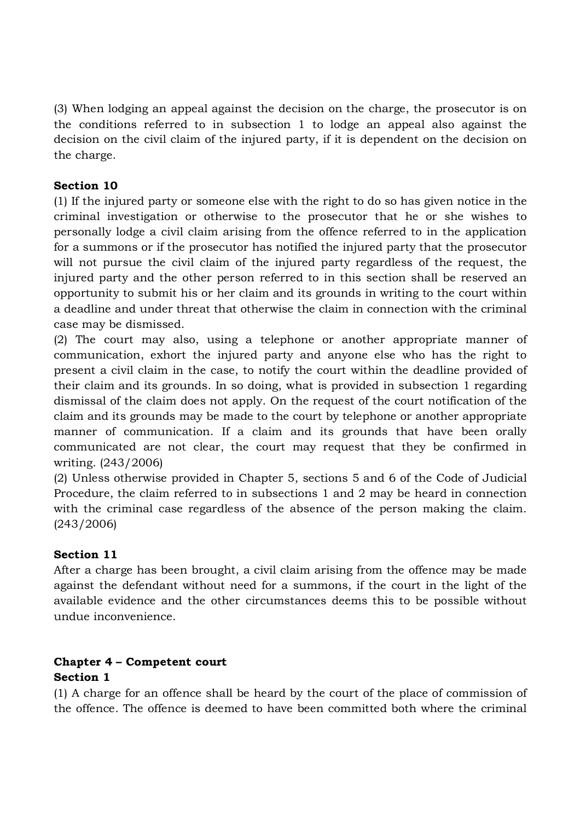(3) When lodging an appeal against the decision on the charge, the prosecutor is on the conditions referred to in subsection 1 to lodge an appeal also against the decision on the civil claim of the injured party, if it is dependent on the decision on the charge.

# **Section 10**

(1) If the injured party or someone else with the right to do so has given notice in the criminal investigation or otherwise to the prosecutor that he or she wishes to personally lodge a civil claim arising from the offence referred to in the application for a summons or if the prosecutor has notified the injured party that the prosecutor will not pursue the civil claim of the injured party regardless of the request, the injured party and the other person referred to in this section shall be reserved an opportunity to submit his or her claim and its grounds in writing to the court within a deadline and under threat that otherwise the claim in connection with the criminal case may be dismissed.

(2) The court may also, using a telephone or another appropriate manner of communication, exhort the injured party and anyone else who has the right to present a civil claim in the case, to notify the court within the deadline provided of their claim and its grounds. In so doing, what is provided in subsection 1 regarding dismissal of the claim does not apply. On the request of the court notification of the claim and its grounds may be made to the court by telephone or another appropriate manner of communication. If a claim and its grounds that have been orally communicated are not clear, the court may request that they be confirmed in writing. (243/2006)

(2) Unless otherwise provided in Chapter 5, sections 5 and 6 of the Code of Judicial Procedure, the claim referred to in subsections 1 and 2 may be heard in connection with the criminal case regardless of the absence of the person making the claim. (243/2006)

# **Section 11**

After a charge has been brought, a civil claim arising from the offence may be made against the defendant without need for a summons, if the court in the light of the available evidence and the other circumstances deems this to be possible without undue inconvenience.

# **Chapter 4 – Competent court**

# **Section 1**

(1) A charge for an offence shall be heard by the court of the place of commission of the offence. The offence is deemed to have been committed both where the criminal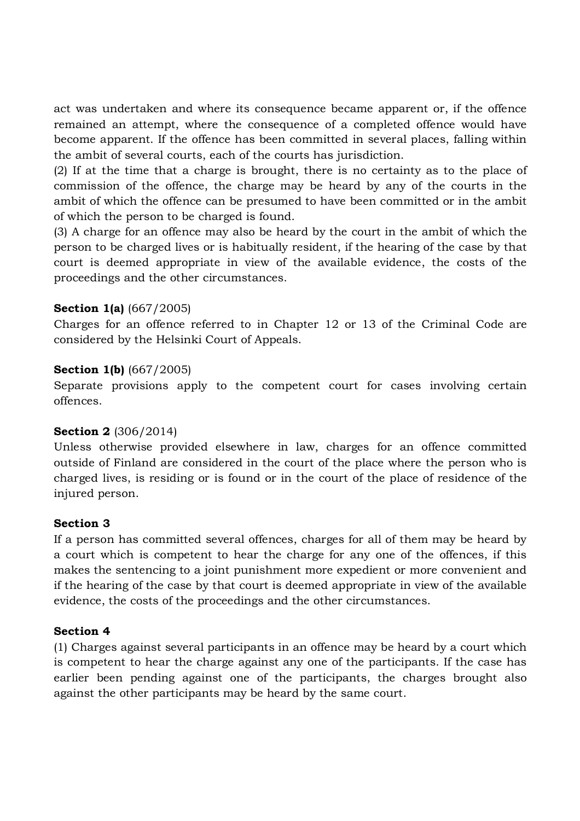act was undertaken and where its consequence became apparent or, if the offence remained an attempt, where the consequence of a completed offence would have become apparent. If the offence has been committed in several places, falling within the ambit of several courts, each of the courts has jurisdiction.

(2) If at the time that a charge is brought, there is no certainty as to the place of commission of the offence, the charge may be heard by any of the courts in the ambit of which the offence can be presumed to have been committed or in the ambit of which the person to be charged is found.

(3) A charge for an offence may also be heard by the court in the ambit of which the person to be charged lives or is habitually resident, if the hearing of the case by that court is deemed appropriate in view of the available evidence, the costs of the proceedings and the other circumstances.

#### **Section 1(a)** (667/2005)

Charges for an offence referred to in Chapter 12 or 13 of the Criminal Code are considered by the Helsinki Court of Appeals.

#### **Section 1(b)** (667/2005)

Separate provisions apply to the competent court for cases involving certain offences.

#### **Section 2** (306/2014)

Unless otherwise provided elsewhere in law, charges for an offence committed outside of Finland are considered in the court of the place where the person who is charged lives, is residing or is found or in the court of the place of residence of the injured person.

#### **Section 3**

If a person has committed several offences, charges for all of them may be heard by a court which is competent to hear the charge for any one of the offences, if this makes the sentencing to a joint punishment more expedient or more convenient and if the hearing of the case by that court is deemed appropriate in view of the available evidence, the costs of the proceedings and the other circumstances.

#### **Section 4**

(1) Charges against several participants in an offence may be heard by a court which is competent to hear the charge against any one of the participants. If the case has earlier been pending against one of the participants, the charges brought also against the other participants may be heard by the same court.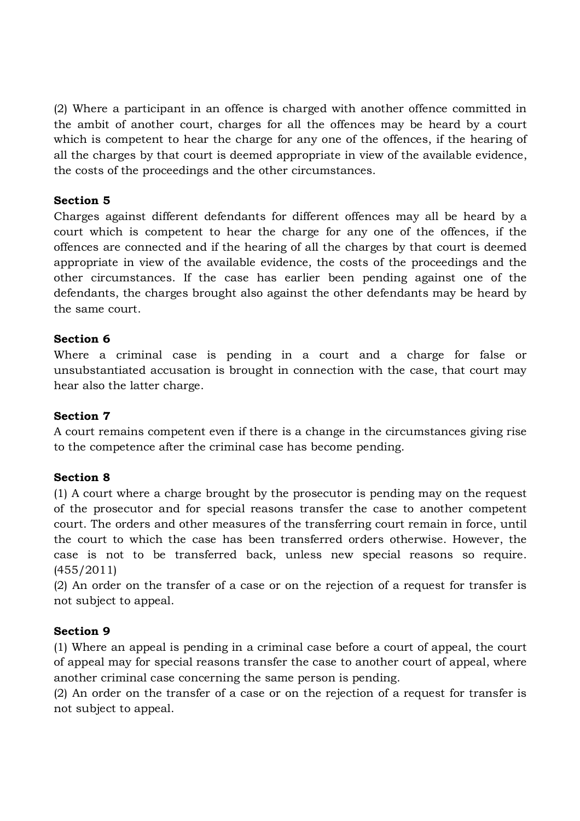(2) Where a participant in an offence is charged with another offence committed in the ambit of another court, charges for all the offences may be heard by a court which is competent to hear the charge for any one of the offences, if the hearing of all the charges by that court is deemed appropriate in view of the available evidence, the costs of the proceedings and the other circumstances.

#### **Section 5**

Charges against different defendants for different offences may all be heard by a court which is competent to hear the charge for any one of the offences, if the offences are connected and if the hearing of all the charges by that court is deemed appropriate in view of the available evidence, the costs of the proceedings and the other circumstances. If the case has earlier been pending against one of the defendants, the charges brought also against the other defendants may be heard by the same court.

#### **Section 6**

Where a criminal case is pending in a court and a charge for false or unsubstantiated accusation is brought in connection with the case, that court may hear also the latter charge.

#### **Section 7**

A court remains competent even if there is a change in the circumstances giving rise to the competence after the criminal case has become pending.

#### **Section 8**

(1) A court where a charge brought by the prosecutor is pending may on the request of the prosecutor and for special reasons transfer the case to another competent court. The orders and other measures of the transferring court remain in force, until the court to which the case has been transferred orders otherwise. However, the case is not to be transferred back, unless new special reasons so require. (455/2011)

(2) An order on the transfer of a case or on the rejection of a request for transfer is not subject to appeal.

#### **Section 9**

(1) Where an appeal is pending in a criminal case before a court of appeal, the court of appeal may for special reasons transfer the case to another court of appeal, where another criminal case concerning the same person is pending.

(2) An order on the transfer of a case or on the rejection of a request for transfer is not subject to appeal.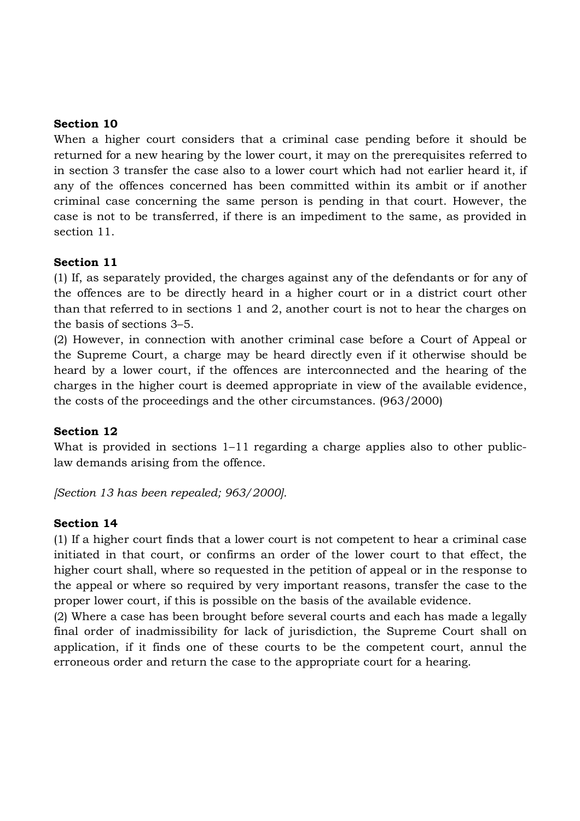#### **Section 10**

When a higher court considers that a criminal case pending before it should be returned for a new hearing by the lower court, it may on the prerequisites referred to in section 3 transfer the case also to a lower court which had not earlier heard it, if any of the offences concerned has been committed within its ambit or if another criminal case concerning the same person is pending in that court. However, the case is not to be transferred, if there is an impediment to the same, as provided in section 11.

#### **Section 11**

(1) If, as separately provided, the charges against any of the defendants or for any of the offences are to be directly heard in a higher court or in a district court other than that referred to in sections 1 and 2, another court is not to hear the charges on the basis of sections 3–5.

(2) However, in connection with another criminal case before a Court of Appeal or the Supreme Court, a charge may be heard directly even if it otherwise should be heard by a lower court, if the offences are interconnected and the hearing of the charges in the higher court is deemed appropriate in view of the available evidence, the costs of the proceedings and the other circumstances. (963/2000)

#### **Section 12**

What is provided in sections 1–11 regarding a charge applies also to other publiclaw demands arising from the offence.

*[Section 13 has been repealed; 963/2000].*

#### **Section 14**

(1) If a higher court finds that a lower court is not competent to hear a criminal case initiated in that court, or confirms an order of the lower court to that effect, the higher court shall, where so requested in the petition of appeal or in the response to the appeal or where so required by very important reasons, transfer the case to the proper lower court, if this is possible on the basis of the available evidence.

(2) Where a case has been brought before several courts and each has made a legally final order of inadmissibility for lack of jurisdiction, the Supreme Court shall on application, if it finds one of these courts to be the competent court, annul the erroneous order and return the case to the appropriate court for a hearing.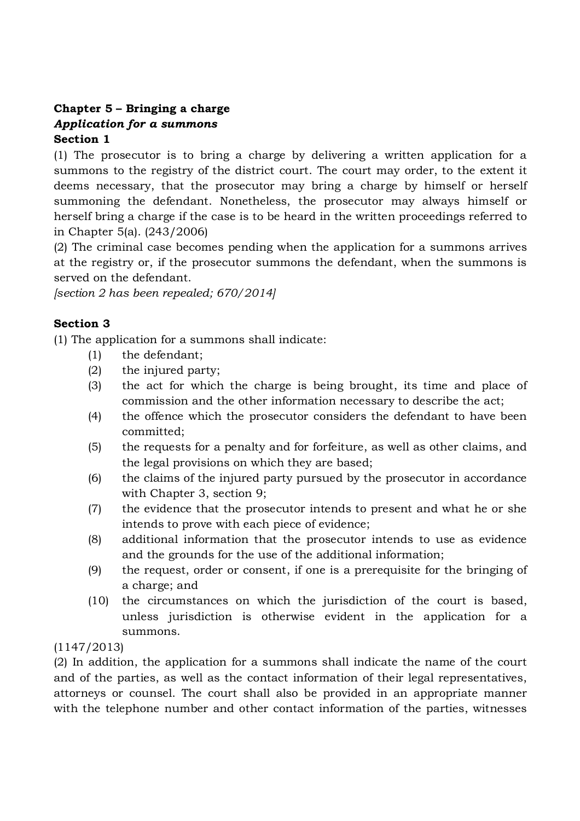# **Chapter 5 – Bringing a charge** *Application for a summons* **Section 1**

(1) The prosecutor is to bring a charge by delivering a written application for a summons to the registry of the district court. The court may order, to the extent it deems necessary, that the prosecutor may bring a charge by himself or herself summoning the defendant. Nonetheless, the prosecutor may always himself or herself bring a charge if the case is to be heard in the written proceedings referred to in Chapter 5(a). (243/2006)

(2) The criminal case becomes pending when the application for a summons arrives at the registry or, if the prosecutor summons the defendant, when the summons is served on the defendant.

*[section 2 has been repealed; 670/2014]*

# **Section 3**

(1) The application for a summons shall indicate:

- (1) the defendant;
- (2) the injured party;
- (3) the act for which the charge is being brought, its time and place of commission and the other information necessary to describe the act;
- (4) the offence which the prosecutor considers the defendant to have been committed;
- (5) the requests for a penalty and for forfeiture, as well as other claims, and the legal provisions on which they are based;
- (6) the claims of the injured party pursued by the prosecutor in accordance with Chapter 3, section 9;
- (7) the evidence that the prosecutor intends to present and what he or she intends to prove with each piece of evidence;
- (8) additional information that the prosecutor intends to use as evidence and the grounds for the use of the additional information;
- (9) the request, order or consent, if one is a prerequisite for the bringing of a charge; and
- (10) the circumstances on which the jurisdiction of the court is based, unless jurisdiction is otherwise evident in the application for a summons.

# (1147/2013)

(2) In addition, the application for a summons shall indicate the name of the court and of the parties, as well as the contact information of their legal representatives, attorneys or counsel. The court shall also be provided in an appropriate manner with the telephone number and other contact information of the parties, witnesses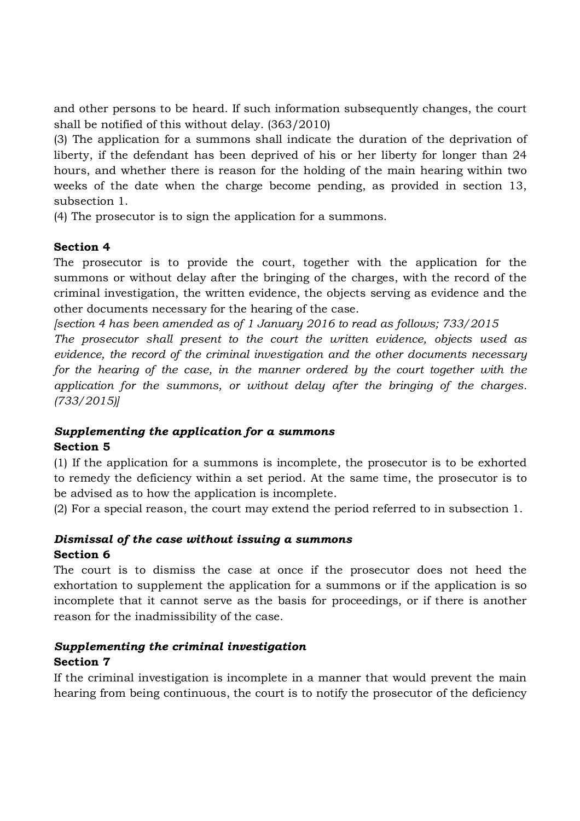and other persons to be heard. If such information subsequently changes, the court shall be notified of this without delay. (363/2010)

(3) The application for a summons shall indicate the duration of the deprivation of liberty, if the defendant has been deprived of his or her liberty for longer than 24 hours, and whether there is reason for the holding of the main hearing within two weeks of the date when the charge become pending, as provided in section 13, subsection 1.

(4) The prosecutor is to sign the application for a summons.

# **Section 4**

The prosecutor is to provide the court, together with the application for the summons or without delay after the bringing of the charges, with the record of the criminal investigation, the written evidence, the objects serving as evidence and the other documents necessary for the hearing of the case.

*[section 4 has been amended as of 1 January 2016 to read as follows; 733/2015*

*The prosecutor shall present to the court the written evidence, objects used as evidence, the record of the criminal investigation and the other documents necessary for the hearing of the case, in the manner ordered by the court together with the application for the summons, or without delay after the bringing of the charges. (733/2015)]*

# *Supplementing the application for a summons* **Section 5**

(1) If the application for a summons is incomplete, the prosecutor is to be exhorted to remedy the deficiency within a set period. At the same time, the prosecutor is to be advised as to how the application is incomplete.

(2) For a special reason, the court may extend the period referred to in subsection 1.

# *Dismissal of the case without issuing a summons* **Section 6**

The court is to dismiss the case at once if the prosecutor does not heed the exhortation to supplement the application for a summons or if the application is so incomplete that it cannot serve as the basis for proceedings, or if there is another reason for the inadmissibility of the case.

# *Supplementing the criminal investigation* **Section 7**

If the criminal investigation is incomplete in a manner that would prevent the main hearing from being continuous, the court is to notify the prosecutor of the deficiency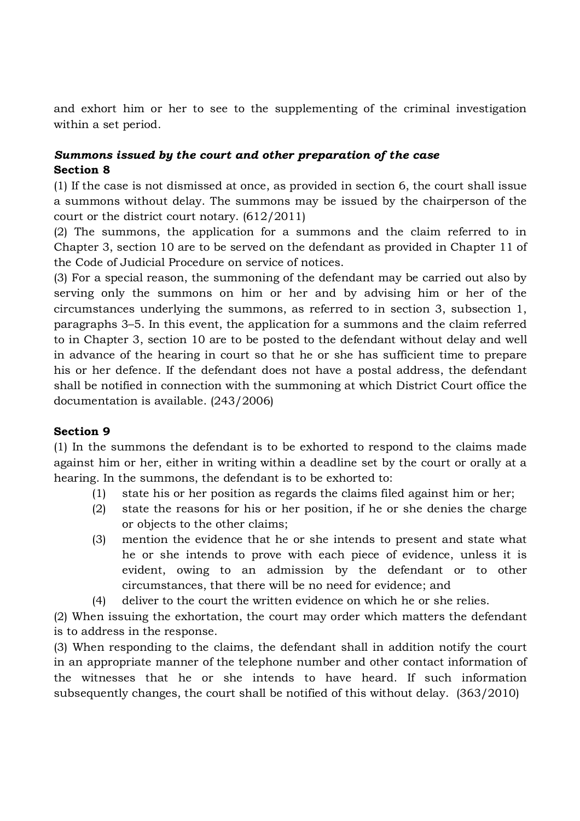and exhort him or her to see to the supplementing of the criminal investigation within a set period.

# *Summons issued by the court and other preparation of the case* **Section 8**

(1) If the case is not dismissed at once, as provided in section 6, the court shall issue a summons without delay. The summons may be issued by the chairperson of the court or the district court notary. (612/2011)

(2) The summons, the application for a summons and the claim referred to in Chapter 3, section 10 are to be served on the defendant as provided in Chapter 11 of the Code of Judicial Procedure on service of notices.

(3) For a special reason, the summoning of the defendant may be carried out also by serving only the summons on him or her and by advising him or her of the circumstances underlying the summons, as referred to in section 3, subsection 1, paragraphs 3–5. In this event, the application for a summons and the claim referred to in Chapter 3, section 10 are to be posted to the defendant without delay and well in advance of the hearing in court so that he or she has sufficient time to prepare his or her defence. If the defendant does not have a postal address, the defendant shall be notified in connection with the summoning at which District Court office the documentation is available. (243/2006)

#### **Section 9**

(1) In the summons the defendant is to be exhorted to respond to the claims made against him or her, either in writing within a deadline set by the court or orally at a hearing. In the summons, the defendant is to be exhorted to:

- (1) state his or her position as regards the claims filed against him or her;
- (2) state the reasons for his or her position, if he or she denies the charge or objects to the other claims;
- (3) mention the evidence that he or she intends to present and state what he or she intends to prove with each piece of evidence, unless it is evident, owing to an admission by the defendant or to other circumstances, that there will be no need for evidence; and
- (4) deliver to the court the written evidence on which he or she relies.

(2) When issuing the exhortation, the court may order which matters the defendant is to address in the response.

(3) When responding to the claims, the defendant shall in addition notify the court in an appropriate manner of the telephone number and other contact information of the witnesses that he or she intends to have heard. If such information subsequently changes, the court shall be notified of this without delay. (363/2010)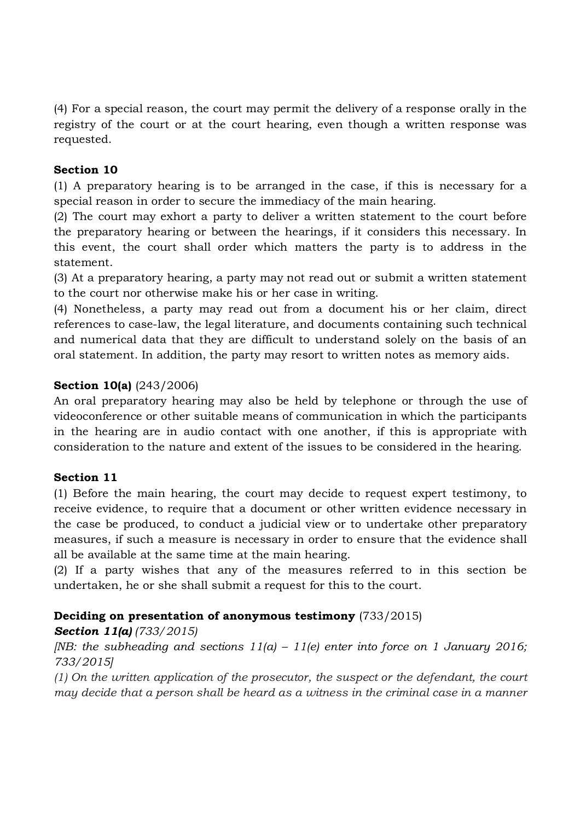(4) For a special reason, the court may permit the delivery of a response orally in the registry of the court or at the court hearing, even though a written response was requested.

## **Section 10**

(1) A preparatory hearing is to be arranged in the case, if this is necessary for a special reason in order to secure the immediacy of the main hearing.

(2) The court may exhort a party to deliver a written statement to the court before the preparatory hearing or between the hearings, if it considers this necessary. In this event, the court shall order which matters the party is to address in the statement.

(3) At a preparatory hearing, a party may not read out or submit a written statement to the court nor otherwise make his or her case in writing.

(4) Nonetheless, a party may read out from a document his or her claim, direct references to case-law, the legal literature, and documents containing such technical and numerical data that they are difficult to understand solely on the basis of an oral statement. In addition, the party may resort to written notes as memory aids.

### **Section 10(a)** (243/2006)

An oral preparatory hearing may also be held by telephone or through the use of videoconference or other suitable means of communication in which the participants in the hearing are in audio contact with one another, if this is appropriate with consideration to the nature and extent of the issues to be considered in the hearing.

# **Section 11**

(1) Before the main hearing, the court may decide to request expert testimony, to receive evidence, to require that a document or other written evidence necessary in the case be produced, to conduct a judicial view or to undertake other preparatory measures, if such a measure is necessary in order to ensure that the evidence shall all be available at the same time at the main hearing.

(2) If a party wishes that any of the measures referred to in this section be undertaken, he or she shall submit a request for this to the court.

# **Deciding on presentation of anonymous testimony** (733/2015)

*Section 11(a) (733/2015)*

*[NB: the subheading and sections 11(a) – 11(e) enter into force on 1 January 2016; 733/2015]*

*(1) On the written application of the prosecutor, the suspect or the defendant, the court may decide that a person shall be heard as a witness in the criminal case in a manner*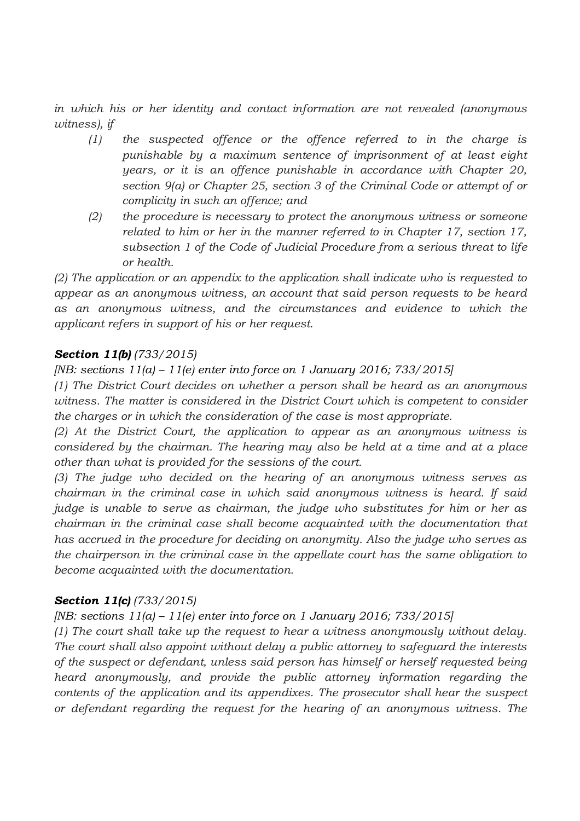*in which his or her identity and contact information are not revealed (anonymous witness), if*

- *(1) the suspected offence or the offence referred to in the charge is punishable by a maximum sentence of imprisonment of at least eight years, or it is an offence punishable in accordance with Chapter 20, section 9(a) or Chapter 25, section 3 of the Criminal Code or attempt of or complicity in such an offence; and*
- *(2) the procedure is necessary to protect the anonymous witness or someone related to him or her in the manner referred to in Chapter 17, section 17, subsection 1 of the Code of Judicial Procedure from a serious threat to life or health.*

*(2) The application or an appendix to the application shall indicate who is requested to appear as an anonymous witness, an account that said person requests to be heard as an anonymous witness, and the circumstances and evidence to which the applicant refers in support of his or her request.*

# *Section 11(b) (733/2015)*

### *[NB: sections 11(a) – 11(e) enter into force on 1 January 2016; 733/2015]*

*(1) The District Court decides on whether a person shall be heard as an anonymous witness. The matter is considered in the District Court which is competent to consider the charges or in which the consideration of the case is most appropriate.*

*(2) At the District Court, the application to appear as an anonymous witness is considered by the chairman. The hearing may also be held at a time and at a place other than what is provided for the sessions of the court.*

*(3) The judge who decided on the hearing of an anonymous witness serves as chairman in the criminal case in which said anonymous witness is heard. If said judge is unable to serve as chairman, the judge who substitutes for him or her as chairman in the criminal case shall become acquainted with the documentation that has accrued in the procedure for deciding on anonymity. Also the judge who serves as the chairperson in the criminal case in the appellate court has the same obligation to become acquainted with the documentation.*

#### *Section 11(c) (733/2015)*

# *[NB: sections 11(a) – 11(e) enter into force on 1 January 2016; 733/2015]*

*(1) The court shall take up the request to hear a witness anonymously without delay. The court shall also appoint without delay a public attorney to safeguard the interests of the suspect or defendant, unless said person has himself or herself requested being heard anonymously, and provide the public attorney information regarding the contents of the application and its appendixes. The prosecutor shall hear the suspect or defendant regarding the request for the hearing of an anonymous witness. The*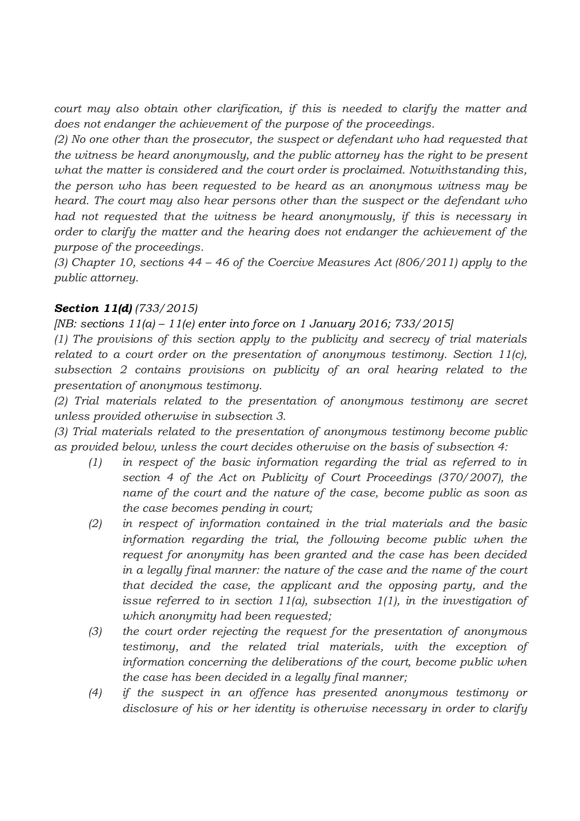*court may also obtain other clarification, if this is needed to clarify the matter and does not endanger the achievement of the purpose of the proceedings.*

*(2) No one other than the prosecutor, the suspect or defendant who had requested that the witness be heard anonymously, and the public attorney has the right to be present what the matter is considered and the court order is proclaimed. Notwithstanding this, the person who has been requested to be heard as an anonymous witness may be heard. The court may also hear persons other than the suspect or the defendant who had not requested that the witness be heard anonymously, if this is necessary in order to clarify the matter and the hearing does not endanger the achievement of the purpose of the proceedings.*

*(3) Chapter 10, sections 44 – 46 of the Coercive Measures Act (806/2011) apply to the public attorney.*

# *Section 11(d) (733/2015)*

*[NB: sections 11(a) – 11(e) enter into force on 1 January 2016; 733/2015]*

*(1) The provisions of this section apply to the publicity and secrecy of trial materials related to a court order on the presentation of anonymous testimony. Section 11(c), subsection 2 contains provisions on publicity of an oral hearing related to the presentation of anonymous testimony.*

*(2) Trial materials related to the presentation of anonymous testimony are secret unless provided otherwise in subsection 3.*

*(3) Trial materials related to the presentation of anonymous testimony become public as provided below, unless the court decides otherwise on the basis of subsection 4:*

- *(1) in respect of the basic information regarding the trial as referred to in section 4 of the Act on Publicity of Court Proceedings (370/2007), the name of the court and the nature of the case, become public as soon as the case becomes pending in court;*
- *(2) in respect of information contained in the trial materials and the basic information regarding the trial, the following become public when the request for anonymity has been granted and the case has been decided in a legally final manner: the nature of the case and the name of the court that decided the case, the applicant and the opposing party, and the issue referred to in section 11(a), subsection 1(1), in the investigation of which anonymity had been requested;*
- *(3) the court order rejecting the request for the presentation of anonymous testimony, and the related trial materials, with the exception of information concerning the deliberations of the court, become public when the case has been decided in a legally final manner;*
- *(4) if the suspect in an offence has presented anonymous testimony or disclosure of his or her identity is otherwise necessary in order to clarify*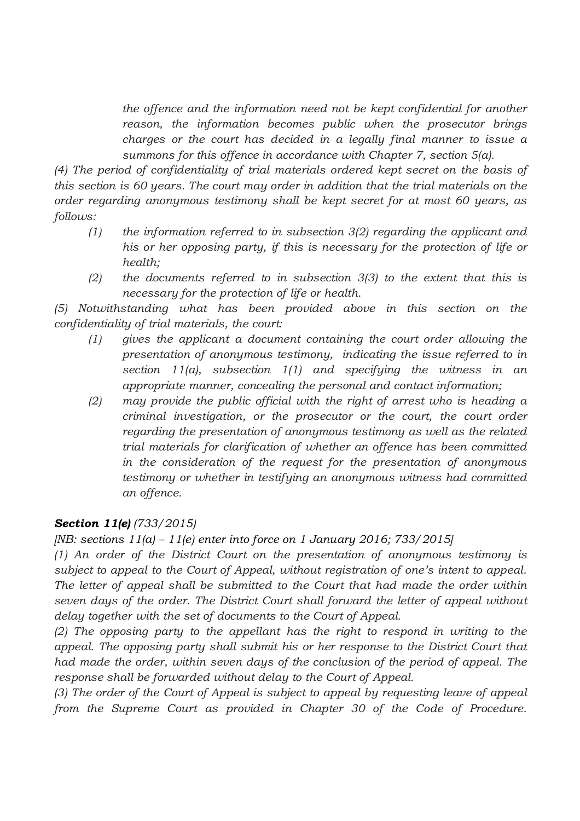*the offence and the information need not be kept confidential for another reason, the information becomes public when the prosecutor brings charges or the court has decided in a legally final manner to issue a summons for this offence in accordance with Chapter 7, section 5(a).*

*(4) The period of confidentiality of trial materials ordered kept secret on the basis of this section is 60 years. The court may order in addition that the trial materials on the order regarding anonymous testimony shall be kept secret for at most 60 years, as follows:*

- *(1) the information referred to in subsection 3(2) regarding the applicant and his or her opposing party, if this is necessary for the protection of life or health;*
- *(2) the documents referred to in subsection 3(3) to the extent that this is necessary for the protection of life or health.*

*(5) Notwithstanding what has been provided above in this section on the confidentiality of trial materials, the court:*

- *(1) gives the applicant a document containing the court order allowing the presentation of anonymous testimony, indicating the issue referred to in section 11(a), subsection 1(1) and specifying the witness in an appropriate manner, concealing the personal and contact information;*
- *(2) may provide the public official with the right of arrest who is heading a criminal investigation, or the prosecutor or the court, the court order regarding the presentation of anonymous testimony as well as the related trial materials for clarification of whether an offence has been committed in the consideration of the request for the presentation of anonymous testimony or whether in testifying an anonymous witness had committed an offence.*

# *Section 11(e) (733/2015)*

*[NB: sections 11(a) – 11(e) enter into force on 1 January 2016; 733/2015]*

*(1) An order of the District Court on the presentation of anonymous testimony is subject to appeal to the Court of Appeal, without registration of one's intent to appeal. The letter of appeal shall be submitted to the Court that had made the order within seven days of the order. The District Court shall forward the letter of appeal without delay together with the set of documents to the Court of Appeal.*

*(2) The opposing party to the appellant has the right to respond in writing to the appeal. The opposing party shall submit his or her response to the District Court that had made the order, within seven days of the conclusion of the period of appeal. The response shall be forwarded without delay to the Court of Appeal.*

*(3) The order of the Court of Appeal is subject to appeal by requesting leave of appeal from the Supreme Court as provided in Chapter 30 of the Code of Procedure.*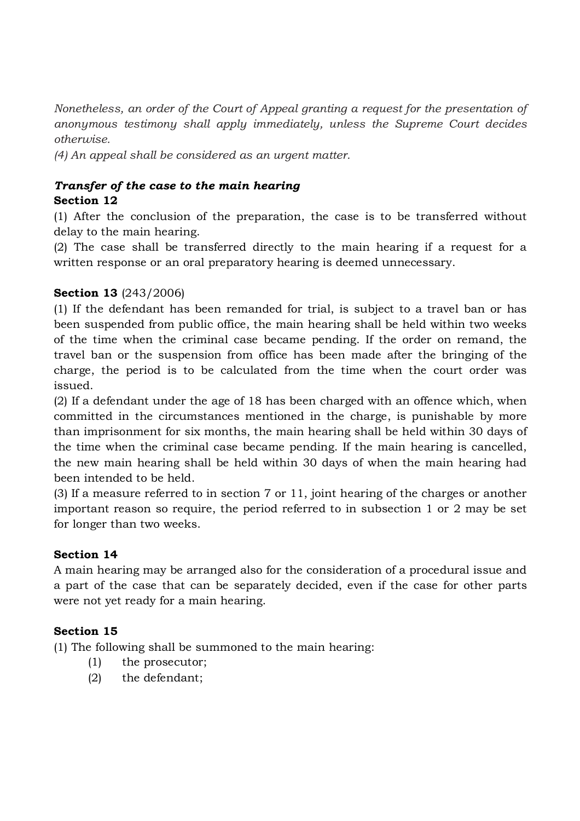*Nonetheless, an order of the Court of Appeal granting a request for the presentation of anonymous testimony shall apply immediately, unless the Supreme Court decides otherwise.*

*(4) An appeal shall be considered as an urgent matter.*

## *Transfer of the case to the main hearing* **Section 12**

(1) After the conclusion of the preparation, the case is to be transferred without delay to the main hearing.

(2) The case shall be transferred directly to the main hearing if a request for a written response or an oral preparatory hearing is deemed unnecessary.

# **Section 13** (243/2006)

(1) If the defendant has been remanded for trial, is subject to a travel ban or has been suspended from public office, the main hearing shall be held within two weeks of the time when the criminal case became pending. If the order on remand, the travel ban or the suspension from office has been made after the bringing of the charge, the period is to be calculated from the time when the court order was issued.

(2) If a defendant under the age of 18 has been charged with an offence which, when committed in the circumstances mentioned in the charge, is punishable by more than imprisonment for six months, the main hearing shall be held within 30 days of the time when the criminal case became pending. If the main hearing is cancelled, the new main hearing shall be held within 30 days of when the main hearing had been intended to be held.

(3) If a measure referred to in section 7 or 11, joint hearing of the charges or another important reason so require, the period referred to in subsection 1 or 2 may be set for longer than two weeks.

# **Section 14**

A main hearing may be arranged also for the consideration of a procedural issue and a part of the case that can be separately decided, even if the case for other parts were not yet ready for a main hearing.

# **Section 15**

(1) The following shall be summoned to the main hearing:

- (1) the prosecutor;
- (2) the defendant;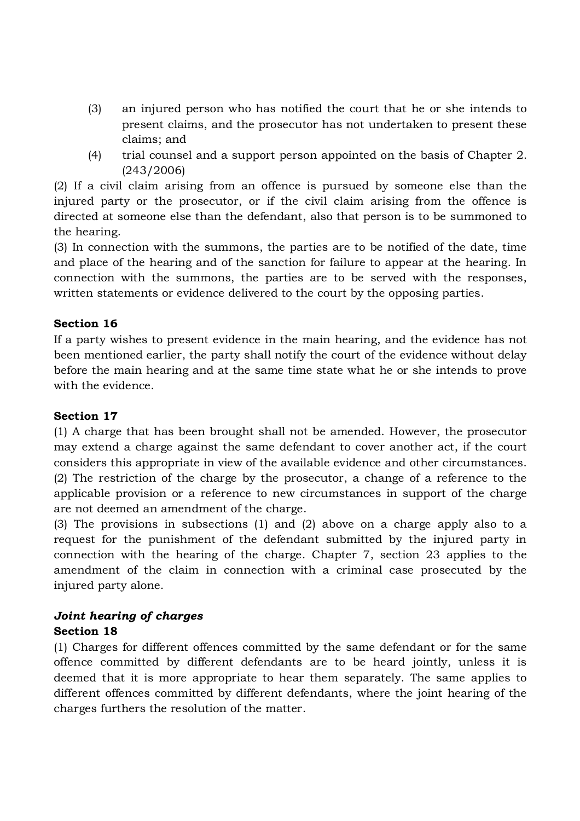- (3) an injured person who has notified the court that he or she intends to present claims, and the prosecutor has not undertaken to present these claims; and
- (4) trial counsel and a support person appointed on the basis of Chapter 2. (243/2006)

(2) If a civil claim arising from an offence is pursued by someone else than the injured party or the prosecutor, or if the civil claim arising from the offence is directed at someone else than the defendant, also that person is to be summoned to the hearing.

(3) In connection with the summons, the parties are to be notified of the date, time and place of the hearing and of the sanction for failure to appear at the hearing. In connection with the summons, the parties are to be served with the responses, written statements or evidence delivered to the court by the opposing parties.

# **Section 16**

If a party wishes to present evidence in the main hearing, and the evidence has not been mentioned earlier, the party shall notify the court of the evidence without delay before the main hearing and at the same time state what he or she intends to prove with the evidence.

# **Section 17**

(1) A charge that has been brought shall not be amended. However, the prosecutor may extend a charge against the same defendant to cover another act, if the court considers this appropriate in view of the available evidence and other circumstances. (2) The restriction of the charge by the prosecutor, a change of a reference to the applicable provision or a reference to new circumstances in support of the charge are not deemed an amendment of the charge.

(3) The provisions in subsections (1) and (2) above on a charge apply also to a request for the punishment of the defendant submitted by the injured party in connection with the hearing of the charge. Chapter 7, section 23 applies to the amendment of the claim in connection with a criminal case prosecuted by the injured party alone.

# *Joint hearing of charges*

# **Section 18**

(1) Charges for different offences committed by the same defendant or for the same offence committed by different defendants are to be heard jointly, unless it is deemed that it is more appropriate to hear them separately. The same applies to different offences committed by different defendants, where the joint hearing of the charges furthers the resolution of the matter.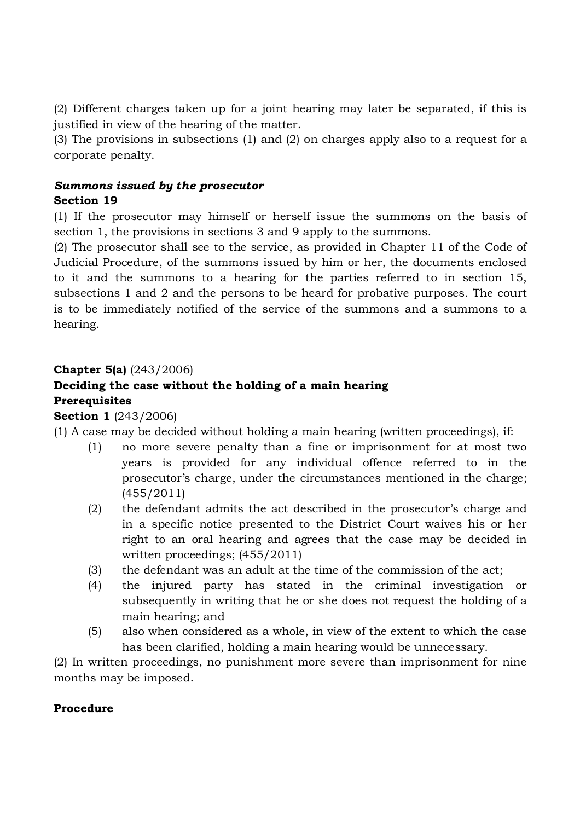(2) Different charges taken up for a joint hearing may later be separated, if this is justified in view of the hearing of the matter.

(3) The provisions in subsections (1) and (2) on charges apply also to a request for a corporate penalty.

### *Summons issued by the prosecutor* **Section 19**

(1) If the prosecutor may himself or herself issue the summons on the basis of section 1, the provisions in sections 3 and 9 apply to the summons.

(2) The prosecutor shall see to the service, as provided in Chapter 11 of the Code of Judicial Procedure, of the summons issued by him or her, the documents enclosed to it and the summons to a hearing for the parties referred to in section 15, subsections 1 and 2 and the persons to be heard for probative purposes. The court is to be immediately notified of the service of the summons and a summons to a hearing.

# **Chapter 5(a)** (243/2006)

# **Deciding the case without the holding of a main hearing**

### **Prerequisites**

**Section 1** (243/2006)

(1) A case may be decided without holding a main hearing (written proceedings), if:

- (1) no more severe penalty than a fine or imprisonment for at most two years is provided for any individual offence referred to in the prosecutor's charge, under the circumstances mentioned in the charge; (455/2011)
- (2) the defendant admits the act described in the prosecutor's charge and in a specific notice presented to the District Court waives his or her right to an oral hearing and agrees that the case may be decided in written proceedings; (455/2011)
- (3) the defendant was an adult at the time of the commission of the act;
- (4) the injured party has stated in the criminal investigation or subsequently in writing that he or she does not request the holding of a main hearing; and
- (5) also when considered as a whole, in view of the extent to which the case has been clarified, holding a main hearing would be unnecessary.

(2) In written proceedings, no punishment more severe than imprisonment for nine months may be imposed.

#### **Procedure**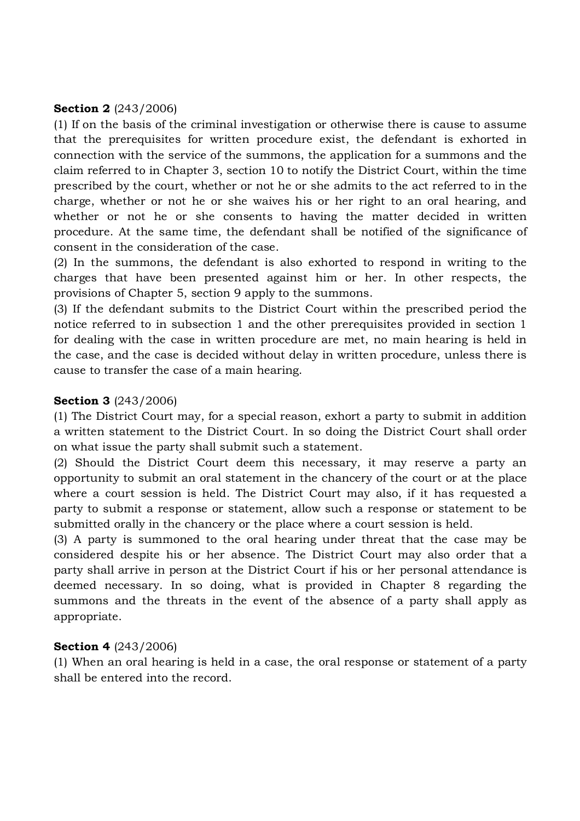#### **Section 2** (243/2006)

(1) If on the basis of the criminal investigation or otherwise there is cause to assume that the prerequisites for written procedure exist, the defendant is exhorted in connection with the service of the summons, the application for a summons and the claim referred to in Chapter 3, section 10 to notify the District Court, within the time prescribed by the court, whether or not he or she admits to the act referred to in the charge, whether or not he or she waives his or her right to an oral hearing, and whether or not he or she consents to having the matter decided in written procedure. At the same time, the defendant shall be notified of the significance of consent in the consideration of the case.

(2) In the summons, the defendant is also exhorted to respond in writing to the charges that have been presented against him or her. In other respects, the provisions of Chapter 5, section 9 apply to the summons.

(3) If the defendant submits to the District Court within the prescribed period the notice referred to in subsection 1 and the other prerequisites provided in section 1 for dealing with the case in written procedure are met, no main hearing is held in the case, and the case is decided without delay in written procedure, unless there is cause to transfer the case of a main hearing.

#### **Section 3** (243/2006)

(1) The District Court may, for a special reason, exhort a party to submit in addition a written statement to the District Court. In so doing the District Court shall order on what issue the party shall submit such a statement.

(2) Should the District Court deem this necessary, it may reserve a party an opportunity to submit an oral statement in the chancery of the court or at the place where a court session is held. The District Court may also, if it has requested a party to submit a response or statement, allow such a response or statement to be submitted orally in the chancery or the place where a court session is held.

(3) A party is summoned to the oral hearing under threat that the case may be considered despite his or her absence. The District Court may also order that a party shall arrive in person at the District Court if his or her personal attendance is deemed necessary. In so doing, what is provided in Chapter 8 regarding the summons and the threats in the event of the absence of a party shall apply as appropriate.

#### **Section 4** (243/2006)

(1) When an oral hearing is held in a case, the oral response or statement of a party shall be entered into the record.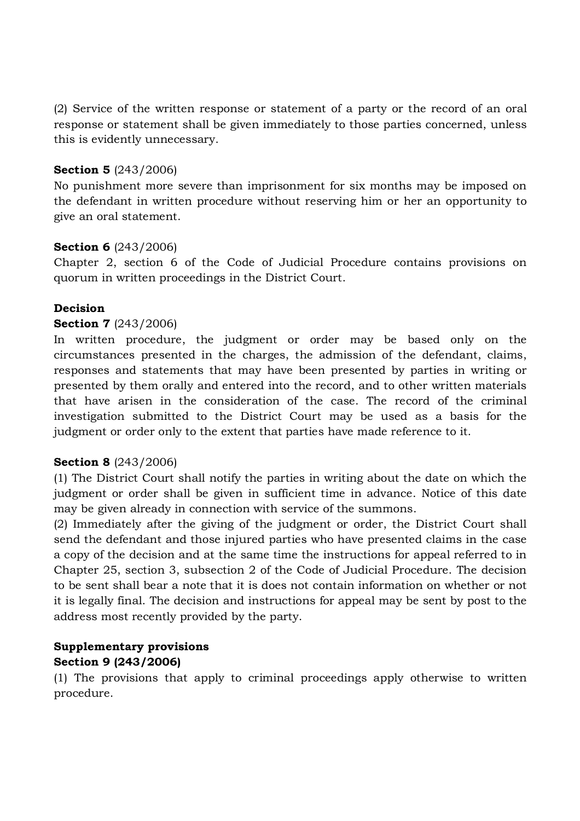(2) Service of the written response or statement of a party or the record of an oral response or statement shall be given immediately to those parties concerned, unless this is evidently unnecessary.

### **Section 5** (243/2006)

No punishment more severe than imprisonment for six months may be imposed on the defendant in written procedure without reserving him or her an opportunity to give an oral statement.

### **Section 6** (243/2006)

Chapter 2, section 6 of the Code of Judicial Procedure contains provisions on quorum in written proceedings in the District Court.

# **Decision**

### **Section 7** (243/2006)

In written procedure, the judgment or order may be based only on the circumstances presented in the charges, the admission of the defendant, claims, responses and statements that may have been presented by parties in writing or presented by them orally and entered into the record, and to other written materials that have arisen in the consideration of the case. The record of the criminal investigation submitted to the District Court may be used as a basis for the judgment or order only to the extent that parties have made reference to it.

#### **Section 8** (243/2006)

(1) The District Court shall notify the parties in writing about the date on which the judgment or order shall be given in sufficient time in advance. Notice of this date may be given already in connection with service of the summons.

(2) Immediately after the giving of the judgment or order, the District Court shall send the defendant and those injured parties who have presented claims in the case a copy of the decision and at the same time the instructions for appeal referred to in Chapter 25, section 3, subsection 2 of the Code of Judicial Procedure. The decision to be sent shall bear a note that it is does not contain information on whether or not it is legally final. The decision and instructions for appeal may be sent by post to the address most recently provided by the party.

### **Supplementary provisions Section 9 (243/2006)**

(1) The provisions that apply to criminal proceedings apply otherwise to written procedure.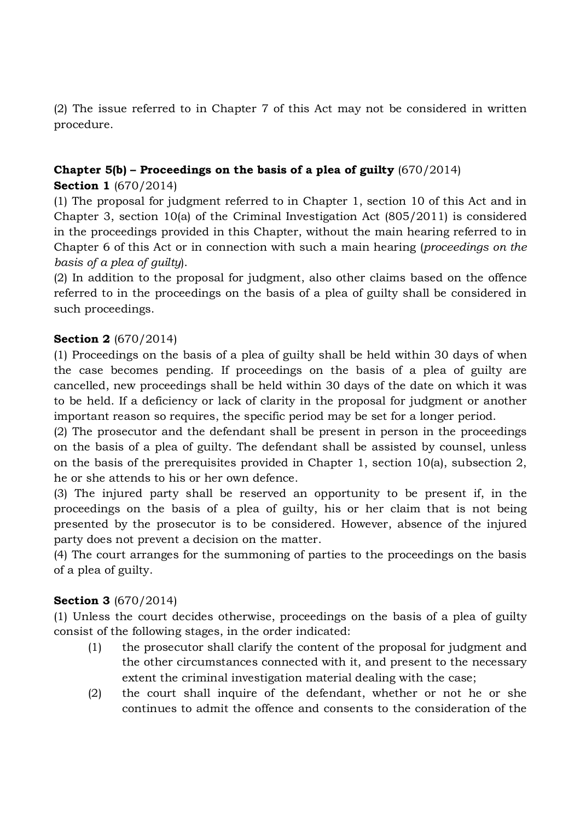(2) The issue referred to in Chapter 7 of this Act may not be considered in written procedure.

# **Chapter 5(b) – Proceedings on the basis of a plea of guilty** (670/2014)

# **Section 1** (670/2014)

(1) The proposal for judgment referred to in Chapter 1, section 10 of this Act and in Chapter 3, section 10(a) of the Criminal Investigation Act (805/2011) is considered in the proceedings provided in this Chapter, without the main hearing referred to in Chapter 6 of this Act or in connection with such a main hearing (*proceedings on the basis of a plea of guilty*).

(2) In addition to the proposal for judgment, also other claims based on the offence referred to in the proceedings on the basis of a plea of guilty shall be considered in such proceedings.

# **Section 2** (670/2014)

(1) Proceedings on the basis of a plea of guilty shall be held within 30 days of when the case becomes pending. If proceedings on the basis of a plea of guilty are cancelled, new proceedings shall be held within 30 days of the date on which it was to be held. If a deficiency or lack of clarity in the proposal for judgment or another important reason so requires, the specific period may be set for a longer period.

(2) The prosecutor and the defendant shall be present in person in the proceedings on the basis of a plea of guilty. The defendant shall be assisted by counsel, unless on the basis of the prerequisites provided in Chapter 1, section 10(a), subsection 2, he or she attends to his or her own defence.

(3) The injured party shall be reserved an opportunity to be present if, in the proceedings on the basis of a plea of guilty, his or her claim that is not being presented by the prosecutor is to be considered. However, absence of the injured party does not prevent a decision on the matter.

(4) The court arranges for the summoning of parties to the proceedings on the basis of a plea of guilty.

# **Section 3** (670/2014)

(1) Unless the court decides otherwise, proceedings on the basis of a plea of guilty consist of the following stages, in the order indicated:

- (1) the prosecutor shall clarify the content of the proposal for judgment and the other circumstances connected with it, and present to the necessary extent the criminal investigation material dealing with the case;
- (2) the court shall inquire of the defendant, whether or not he or she continues to admit the offence and consents to the consideration of the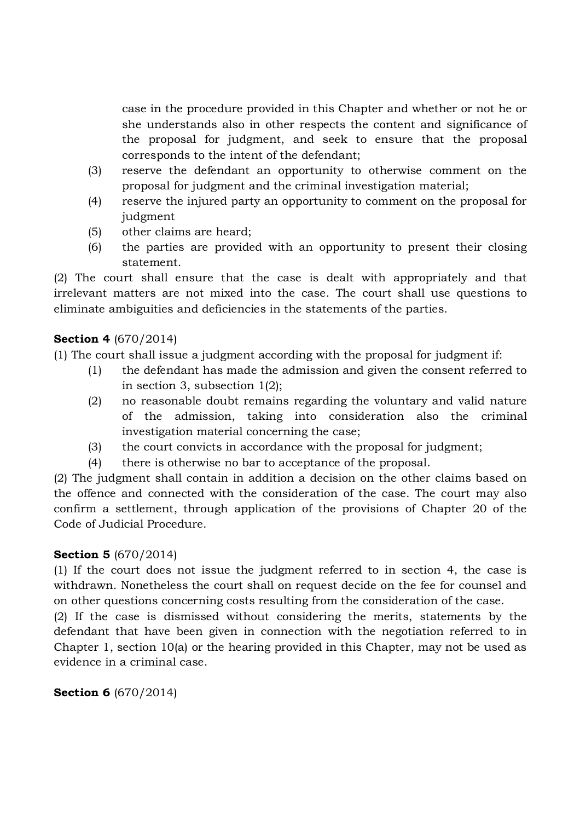case in the procedure provided in this Chapter and whether or not he or she understands also in other respects the content and significance of the proposal for judgment, and seek to ensure that the proposal corresponds to the intent of the defendant;

- (3) reserve the defendant an opportunity to otherwise comment on the proposal for judgment and the criminal investigation material;
- (4) reserve the injured party an opportunity to comment on the proposal for judgment
- (5) other claims are heard;
- (6) the parties are provided with an opportunity to present their closing statement.

(2) The court shall ensure that the case is dealt with appropriately and that irrelevant matters are not mixed into the case. The court shall use questions to eliminate ambiguities and deficiencies in the statements of the parties.

# **Section 4** (670/2014)

(1) The court shall issue a judgment according with the proposal for judgment if:

- (1) the defendant has made the admission and given the consent referred to in section 3, subsection 1(2);
- (2) no reasonable doubt remains regarding the voluntary and valid nature of the admission, taking into consideration also the criminal investigation material concerning the case;
- (3) the court convicts in accordance with the proposal for judgment;
- (4) there is otherwise no bar to acceptance of the proposal.

(2) The judgment shall contain in addition a decision on the other claims based on the offence and connected with the consideration of the case. The court may also confirm a settlement, through application of the provisions of Chapter 20 of the Code of Judicial Procedure.

# **Section 5** (670/2014)

(1) If the court does not issue the judgment referred to in section 4, the case is withdrawn. Nonetheless the court shall on request decide on the fee for counsel and on other questions concerning costs resulting from the consideration of the case.

(2) If the case is dismissed without considering the merits, statements by the defendant that have been given in connection with the negotiation referred to in Chapter 1, section 10(a) or the hearing provided in this Chapter, may not be used as evidence in a criminal case.

**Section 6** (670/2014)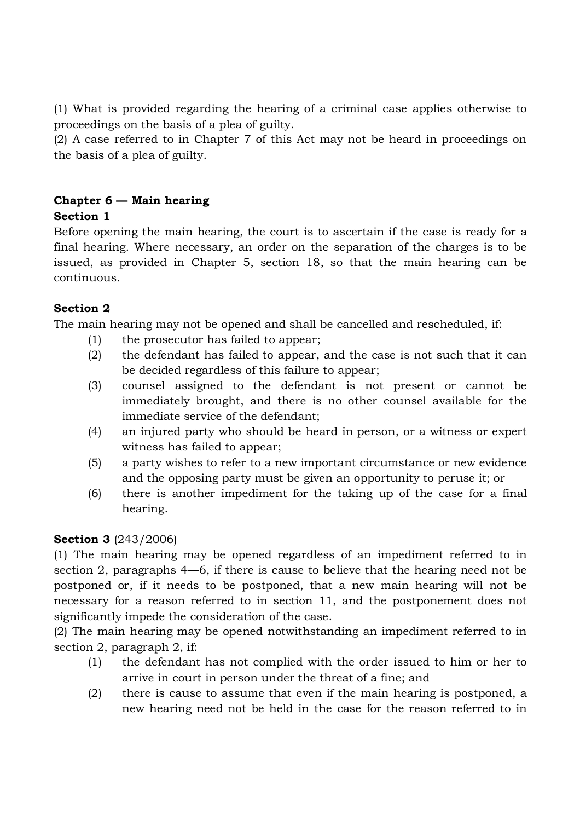(1) What is provided regarding the hearing of a criminal case applies otherwise to proceedings on the basis of a plea of guilty.

(2) A case referred to in Chapter 7 of this Act may not be heard in proceedings on the basis of a plea of guilty.

#### **Chapter 6 — Main hearing Section 1**

Before opening the main hearing, the court is to ascertain if the case is ready for a final hearing. Where necessary, an order on the separation of the charges is to be issued, as provided in Chapter 5, section 18, so that the main hearing can be continuous.

# **Section 2**

The main hearing may not be opened and shall be cancelled and rescheduled, if:

- (1) the prosecutor has failed to appear;
- (2) the defendant has failed to appear, and the case is not such that it can be decided regardless of this failure to appear;
- (3) counsel assigned to the defendant is not present or cannot be immediately brought, and there is no other counsel available for the immediate service of the defendant;
- (4) an injured party who should be heard in person, or a witness or expert witness has failed to appear;
- (5) a party wishes to refer to a new important circumstance or new evidence and the opposing party must be given an opportunity to peruse it; or
- (6) there is another impediment for the taking up of the case for a final hearing.

# **Section 3** (243/2006)

(1) The main hearing may be opened regardless of an impediment referred to in section 2, paragraphs 4—6, if there is cause to believe that the hearing need not be postponed or, if it needs to be postponed, that a new main hearing will not be necessary for a reason referred to in section 11, and the postponement does not significantly impede the consideration of the case.

(2) The main hearing may be opened notwithstanding an impediment referred to in section 2, paragraph 2, if:

- (1) the defendant has not complied with the order issued to him or her to arrive in court in person under the threat of a fine; and
- (2) there is cause to assume that even if the main hearing is postponed, a new hearing need not be held in the case for the reason referred to in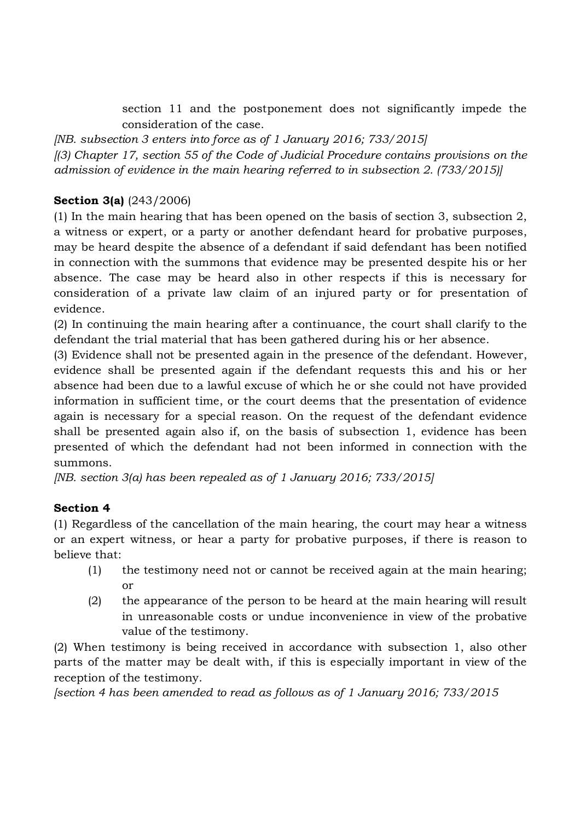section 11 and the postponement does not significantly impede the consideration of the case.

*[NB. subsection 3 enters into force as of 1 January 2016; 733/2015] [(3) Chapter 17, section 55 of the Code of Judicial Procedure contains provisions on the admission of evidence in the main hearing referred to in subsection 2. (733/2015)]*

# **Section 3(a)** (243/2006)

(1) In the main hearing that has been opened on the basis of section 3, subsection 2, a witness or expert, or a party or another defendant heard for probative purposes, may be heard despite the absence of a defendant if said defendant has been notified in connection with the summons that evidence may be presented despite his or her absence. The case may be heard also in other respects if this is necessary for consideration of a private law claim of an injured party or for presentation of evidence.

(2) In continuing the main hearing after a continuance, the court shall clarify to the defendant the trial material that has been gathered during his or her absence.

(3) Evidence shall not be presented again in the presence of the defendant. However, evidence shall be presented again if the defendant requests this and his or her absence had been due to a lawful excuse of which he or she could not have provided information in sufficient time, or the court deems that the presentation of evidence again is necessary for a special reason. On the request of the defendant evidence shall be presented again also if, on the basis of subsection 1, evidence has been presented of which the defendant had not been informed in connection with the summons.

*[NB. section 3(a) has been repealed as of 1 January 2016; 733/2015]*

# **Section 4**

(1) Regardless of the cancellation of the main hearing, the court may hear a witness or an expert witness, or hear a party for probative purposes, if there is reason to believe that:

- (1) the testimony need not or cannot be received again at the main hearing; or
- (2) the appearance of the person to be heard at the main hearing will result in unreasonable costs or undue inconvenience in view of the probative value of the testimony.

(2) When testimony is being received in accordance with subsection 1, also other parts of the matter may be dealt with, if this is especially important in view of the reception of the testimony.

*[section 4 has been amended to read as follows as of 1 January 2016; 733/2015*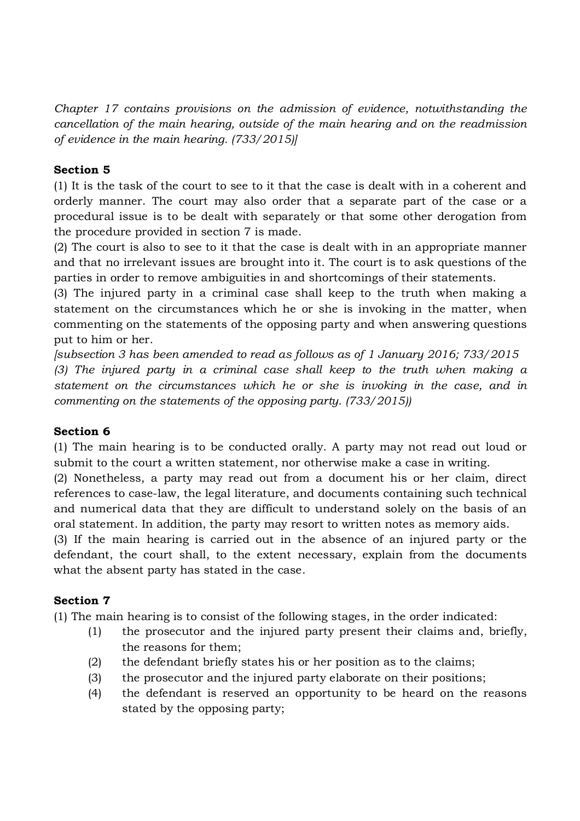*Chapter 17 contains provisions on the admission of evidence, notwithstanding the cancellation of the main hearing, outside of the main hearing and on the readmission of evidence in the main hearing. (733/2015)]*

## **Section 5**

(1) It is the task of the court to see to it that the case is dealt with in a coherent and orderly manner. The court may also order that a separate part of the case or a procedural issue is to be dealt with separately or that some other derogation from the procedure provided in section 7 is made.

(2) The court is also to see to it that the case is dealt with in an appropriate manner and that no irrelevant issues are brought into it. The court is to ask questions of the parties in order to remove ambiguities in and shortcomings of their statements.

(3) The injured party in a criminal case shall keep to the truth when making a statement on the circumstances which he or she is invoking in the matter, when commenting on the statements of the opposing party and when answering questions put to him or her.

*[subsection 3 has been amended to read as follows as of 1 January 2016; 733/2015 (3) The injured party in a criminal case shall keep to the truth when making a statement on the circumstances which he or she is invoking in the case, and in commenting on the statements of the opposing party. (733/2015))*

#### **Section 6**

(1) The main hearing is to be conducted orally. A party may not read out loud or submit to the court a written statement, nor otherwise make a case in writing.

(2) Nonetheless, a party may read out from a document his or her claim, direct references to case-law, the legal literature, and documents containing such technical and numerical data that they are difficult to understand solely on the basis of an oral statement. In addition, the party may resort to written notes as memory aids.

(3) If the main hearing is carried out in the absence of an injured party or the defendant, the court shall, to the extent necessary, explain from the documents what the absent party has stated in the case.

#### **Section 7**

(1) The main hearing is to consist of the following stages, in the order indicated:

- (1) the prosecutor and the injured party present their claims and, briefly, the reasons for them;
- (2) the defendant briefly states his or her position as to the claims;
- (3) the prosecutor and the injured party elaborate on their positions;
- (4) the defendant is reserved an opportunity to be heard on the reasons stated by the opposing party;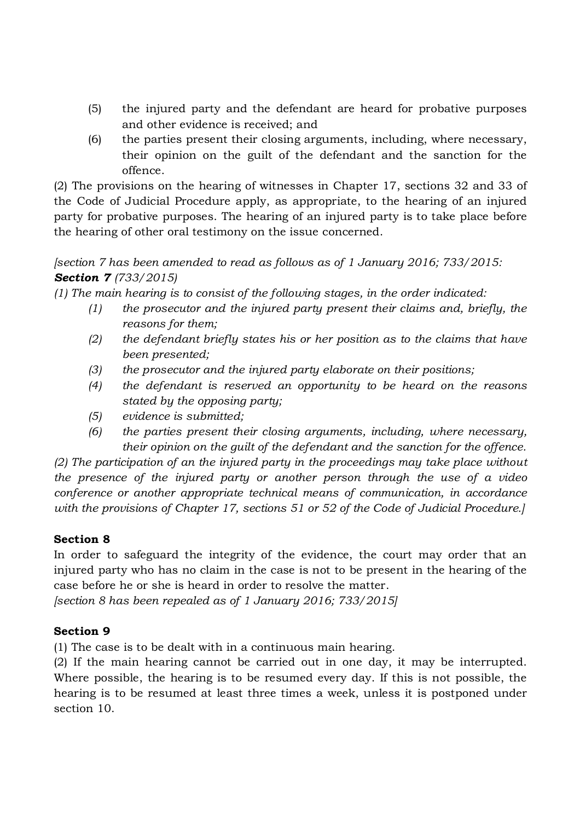- (5) the injured party and the defendant are heard for probative purposes and other evidence is received; and
- (6) the parties present their closing arguments, including, where necessary, their opinion on the guilt of the defendant and the sanction for the offence.

(2) The provisions on the hearing of witnesses in Chapter 17, sections 32 and 33 of the Code of Judicial Procedure apply, as appropriate, to the hearing of an injured party for probative purposes. The hearing of an injured party is to take place before the hearing of other oral testimony on the issue concerned.

*[section 7 has been amended to read as follows as of 1 January 2016; 733/2015: Section 7 (733/2015)*

*(1) The main hearing is to consist of the following stages, in the order indicated:*

- *(1) the prosecutor and the injured party present their claims and, briefly, the reasons for them;*
- *(2) the defendant briefly states his or her position as to the claims that have been presented;*
- *(3) the prosecutor and the injured party elaborate on their positions;*
- *(4) the defendant is reserved an opportunity to be heard on the reasons stated by the opposing party;*
- *(5) evidence is submitted;*
- *(6) the parties present their closing arguments, including, where necessary, their opinion on the guilt of the defendant and the sanction for the offence.*

*(2) The participation of an the injured party in the proceedings may take place without the presence of the injured party or another person through the use of a video conference or another appropriate technical means of communication, in accordance with the provisions of Chapter 17, sections 51 or 52 of the Code of Judicial Procedure.]*

# **Section 8**

In order to safeguard the integrity of the evidence, the court may order that an injured party who has no claim in the case is not to be present in the hearing of the case before he or she is heard in order to resolve the matter.

*[section 8 has been repealed as of 1 January 2016; 733/2015]*

# **Section 9**

(1) The case is to be dealt with in a continuous main hearing.

(2) If the main hearing cannot be carried out in one day, it may be interrupted. Where possible, the hearing is to be resumed every day. If this is not possible, the hearing is to be resumed at least three times a week, unless it is postponed under section 10.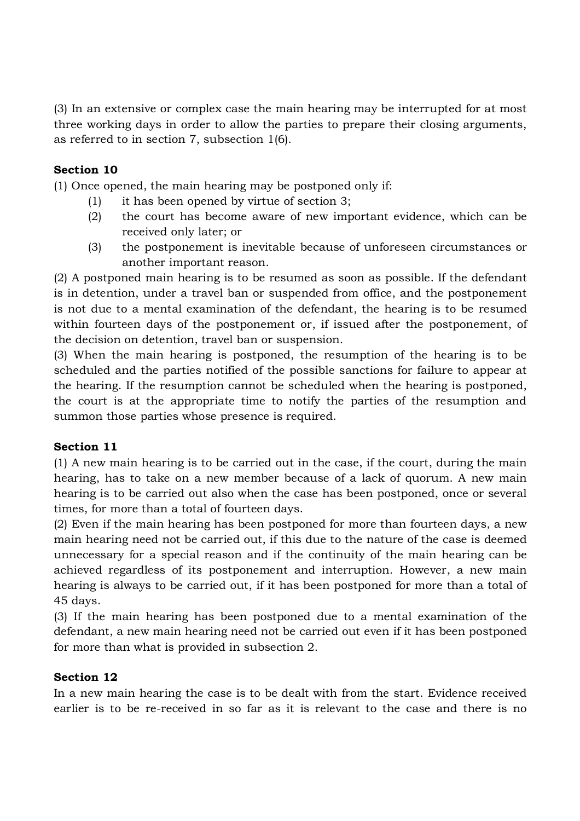(3) In an extensive or complex case the main hearing may be interrupted for at most three working days in order to allow the parties to prepare their closing arguments, as referred to in section 7, subsection 1(6).

# **Section 10**

(1) Once opened, the main hearing may be postponed only if:

- (1) it has been opened by virtue of section 3;
- (2) the court has become aware of new important evidence, which can be received only later; or
- (3) the postponement is inevitable because of unforeseen circumstances or another important reason.

(2) A postponed main hearing is to be resumed as soon as possible. If the defendant is in detention, under a travel ban or suspended from office, and the postponement is not due to a mental examination of the defendant, the hearing is to be resumed within fourteen days of the postponement or, if issued after the postponement, of the decision on detention, travel ban or suspension.

(3) When the main hearing is postponed, the resumption of the hearing is to be scheduled and the parties notified of the possible sanctions for failure to appear at the hearing. If the resumption cannot be scheduled when the hearing is postponed, the court is at the appropriate time to notify the parties of the resumption and summon those parties whose presence is required.

# **Section 11**

(1) A new main hearing is to be carried out in the case, if the court, during the main hearing, has to take on a new member because of a lack of quorum. A new main hearing is to be carried out also when the case has been postponed, once or several times, for more than a total of fourteen days.

(2) Even if the main hearing has been postponed for more than fourteen days, a new main hearing need not be carried out, if this due to the nature of the case is deemed unnecessary for a special reason and if the continuity of the main hearing can be achieved regardless of its postponement and interruption. However, a new main hearing is always to be carried out, if it has been postponed for more than a total of 45 days.

(3) If the main hearing has been postponed due to a mental examination of the defendant, a new main hearing need not be carried out even if it has been postponed for more than what is provided in subsection 2.

# **Section 12**

In a new main hearing the case is to be dealt with from the start. Evidence received earlier is to be re-received in so far as it is relevant to the case and there is no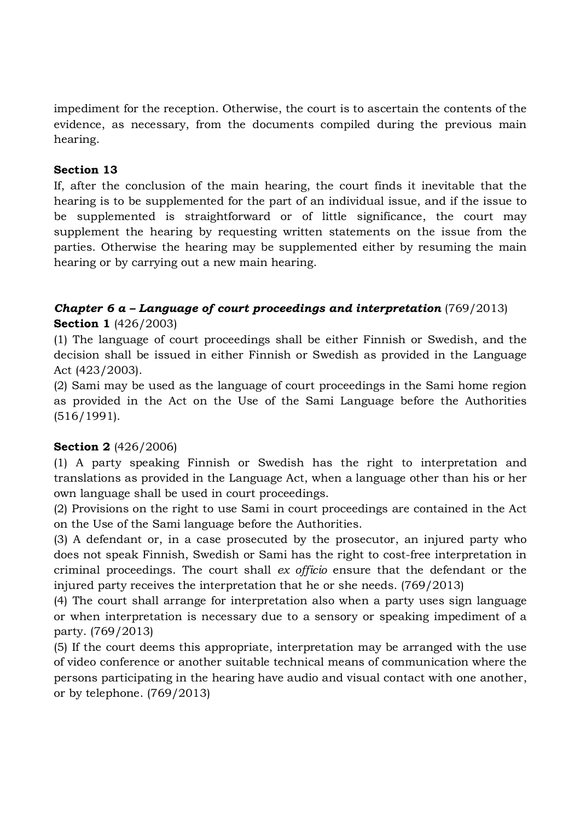impediment for the reception. Otherwise, the court is to ascertain the contents of the evidence, as necessary, from the documents compiled during the previous main hearing.

## **Section 13**

If, after the conclusion of the main hearing, the court finds it inevitable that the hearing is to be supplemented for the part of an individual issue, and if the issue to be supplemented is straightforward or of little significance, the court may supplement the hearing by requesting written statements on the issue from the parties. Otherwise the hearing may be supplemented either by resuming the main hearing or by carrying out a new main hearing.

# *Chapter 6 a – Language of court proceedings and interpretation* (769/2013) **Section 1** (426/2003)

(1) The language of court proceedings shall be either Finnish or Swedish, and the decision shall be issued in either Finnish or Swedish as provided in the Language Act (423/2003).

(2) Sami may be used as the language of court proceedings in the Sami home region as provided in the Act on the Use of the Sami Language before the Authorities (516/1991).

#### **Section 2** (426/2006)

(1) A party speaking Finnish or Swedish has the right to interpretation and translations as provided in the Language Act, when a language other than his or her own language shall be used in court proceedings.

(2) Provisions on the right to use Sami in court proceedings are contained in the Act on the Use of the Sami language before the Authorities.

(3) A defendant or, in a case prosecuted by the prosecutor, an injured party who does not speak Finnish, Swedish or Sami has the right to cost-free interpretation in criminal proceedings. The court shall *ex officio* ensure that the defendant or the injured party receives the interpretation that he or she needs. (769/2013)

(4) The court shall arrange for interpretation also when a party uses sign language or when interpretation is necessary due to a sensory or speaking impediment of a party. (769/2013)

(5) If the court deems this appropriate, interpretation may be arranged with the use of video conference or another suitable technical means of communication where the persons participating in the hearing have audio and visual contact with one another, or by telephone. (769/2013)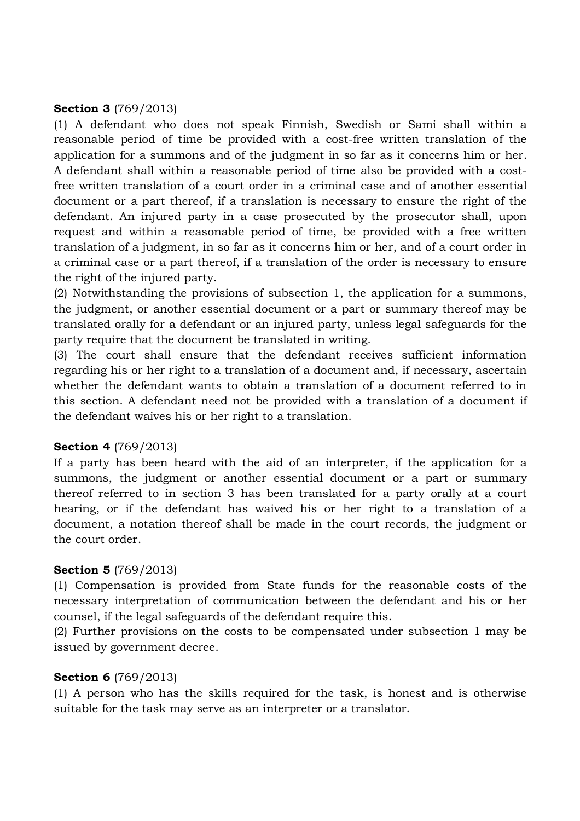#### **Section 3** (769/2013)

(1) A defendant who does not speak Finnish, Swedish or Sami shall within a reasonable period of time be provided with a cost-free written translation of the application for a summons and of the judgment in so far as it concerns him or her. A defendant shall within a reasonable period of time also be provided with a costfree written translation of a court order in a criminal case and of another essential document or a part thereof, if a translation is necessary to ensure the right of the defendant. An injured party in a case prosecuted by the prosecutor shall, upon request and within a reasonable period of time, be provided with a free written translation of a judgment, in so far as it concerns him or her, and of a court order in a criminal case or a part thereof, if a translation of the order is necessary to ensure the right of the injured party.

(2) Notwithstanding the provisions of subsection 1, the application for a summons, the judgment, or another essential document or a part or summary thereof may be translated orally for a defendant or an injured party, unless legal safeguards for the party require that the document be translated in writing.

(3) The court shall ensure that the defendant receives sufficient information regarding his or her right to a translation of a document and, if necessary, ascertain whether the defendant wants to obtain a translation of a document referred to in this section. A defendant need not be provided with a translation of a document if the defendant waives his or her right to a translation.

#### **Section 4** (769/2013)

If a party has been heard with the aid of an interpreter, if the application for a summons, the judgment or another essential document or a part or summary thereof referred to in section 3 has been translated for a party orally at a court hearing, or if the defendant has waived his or her right to a translation of a document, a notation thereof shall be made in the court records, the judgment or the court order.

#### **Section 5** (769/2013)

(1) Compensation is provided from State funds for the reasonable costs of the necessary interpretation of communication between the defendant and his or her counsel, if the legal safeguards of the defendant require this.

(2) Further provisions on the costs to be compensated under subsection 1 may be issued by government decree.

#### **Section 6** (769/2013)

(1) A person who has the skills required for the task, is honest and is otherwise suitable for the task may serve as an interpreter or a translator.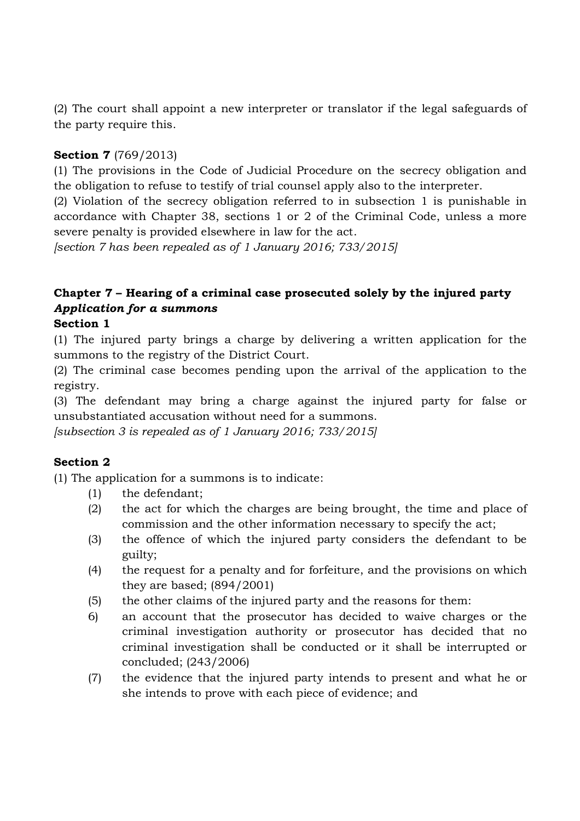(2) The court shall appoint a new interpreter or translator if the legal safeguards of the party require this.

## **Section 7** (769/2013)

(1) The provisions in the Code of Judicial Procedure on the secrecy obligation and the obligation to refuse to testify of trial counsel apply also to the interpreter.

(2) Violation of the secrecy obligation referred to in subsection 1 is punishable in accordance with Chapter 38, sections 1 or 2 of the Criminal Code, unless a more severe penalty is provided elsewhere in law for the act.

*[section 7 has been repealed as of 1 January 2016; 733/2015]*

# **Chapter 7 – Hearing of a criminal case prosecuted solely by the injured party** *Application for a summons*

#### **Section 1**

(1) The injured party brings a charge by delivering a written application for the summons to the registry of the District Court.

(2) The criminal case becomes pending upon the arrival of the application to the registry.

(3) The defendant may bring a charge against the injured party for false or unsubstantiated accusation without need for a summons.

*[subsection 3 is repealed as of 1 January 2016; 733/2015]*

# **Section 2**

(1) The application for a summons is to indicate:

- (1) the defendant;
- (2) the act for which the charges are being brought, the time and place of commission and the other information necessary to specify the act;
- (3) the offence of which the injured party considers the defendant to be guilty;
- (4) the request for a penalty and for forfeiture, and the provisions on which they are based; (894/2001)
- (5) the other claims of the injured party and the reasons for them:
- 6) an account that the prosecutor has decided to waive charges or the criminal investigation authority or prosecutor has decided that no criminal investigation shall be conducted or it shall be interrupted or concluded; (243/2006)
- (7) the evidence that the injured party intends to present and what he or she intends to prove with each piece of evidence; and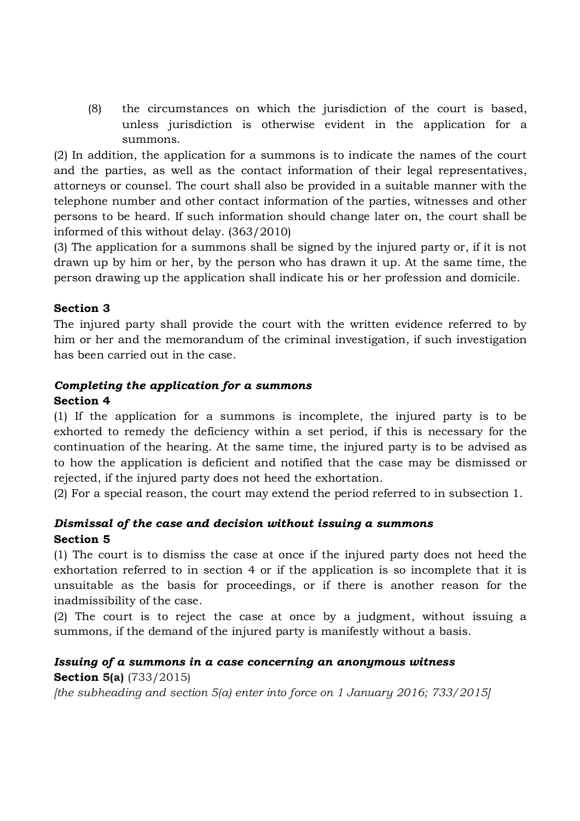(8) the circumstances on which the jurisdiction of the court is based, unless jurisdiction is otherwise evident in the application for a summons.

(2) In addition, the application for a summons is to indicate the names of the court and the parties, as well as the contact information of their legal representatives, attorneys or counsel. The court shall also be provided in a suitable manner with the telephone number and other contact information of the parties, witnesses and other persons to be heard. If such information should change later on, the court shall be informed of this without delay. (363/2010)

(3) The application for a summons shall be signed by the injured party or, if it is not drawn up by him or her, by the person who has drawn it up. At the same time, the person drawing up the application shall indicate his or her profession and domicile.

# **Section 3**

The injured party shall provide the court with the written evidence referred to by him or her and the memorandum of the criminal investigation, if such investigation has been carried out in the case.

### *Completing the application for a summons*

#### **Section 4**

(1) If the application for a summons is incomplete, the injured party is to be exhorted to remedy the deficiency within a set period, if this is necessary for the continuation of the hearing. At the same time, the injured party is to be advised as to how the application is deficient and notified that the case may be dismissed or rejected, if the injured party does not heed the exhortation.

(2) For a special reason, the court may extend the period referred to in subsection 1.

# *Dismissal of the case and decision without issuing a summons* **Section 5**

(1) The court is to dismiss the case at once if the injured party does not heed the exhortation referred to in section 4 or if the application is so incomplete that it is unsuitable as the basis for proceedings, or if there is another reason for the inadmissibility of the case.

(2) The court is to reject the case at once by a judgment, without issuing a summons, if the demand of the injured party is manifestly without a basis.

# *Issuing of a summons in a case concerning an anonymous witness*

**Section 5(a)** (733/2015)

*[the subheading and section 5(a) enter into force on 1 January 2016; 733/2015]*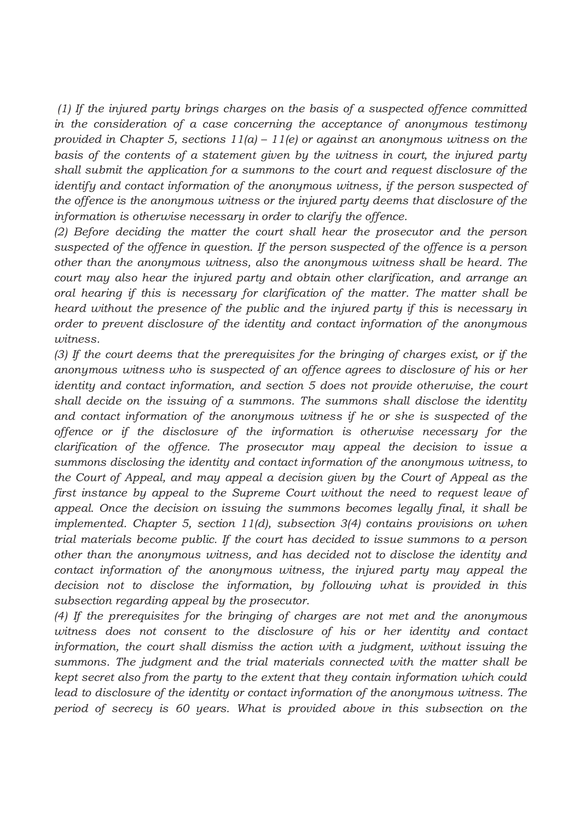*(1) If the injured party brings charges on the basis of a suspected offence committed in the consideration of a case concerning the acceptance of anonymous testimony provided in Chapter 5, sections 11(a) – 11(e) or against an anonymous witness on the basis of the contents of a statement given by the witness in court, the injured party shall submit the application for a summons to the court and request disclosure of the identify and contact information of the anonymous witness, if the person suspected of the offence is the anonymous witness or the injured party deems that disclosure of the information is otherwise necessary in order to clarify the offence.*

*(2) Before deciding the matter the court shall hear the prosecutor and the person suspected of the offence in question. If the person suspected of the offence is a person other than the anonymous witness, also the anonymous witness shall be heard. The court may also hear the injured party and obtain other clarification, and arrange an oral hearing if this is necessary for clarification of the matter. The matter shall be heard without the presence of the public and the injured party if this is necessary in order to prevent disclosure of the identity and contact information of the anonymous witness.*

*(3) If the court deems that the prerequisites for the bringing of charges exist, or if the anonymous witness who is suspected of an offence agrees to disclosure of his or her identity and contact information, and section 5 does not provide otherwise, the court shall decide on the issuing of a summons. The summons shall disclose the identity*  and contact information of the anonymous witness if he or she is suspected of the *offence or if the disclosure of the information is otherwise necessary for the clarification of the offence. The prosecutor may appeal the decision to issue a summons disclosing the identity and contact information of the anonymous witness, to the Court of Appeal, and may appeal a decision given by the Court of Appeal as the first instance by appeal to the Supreme Court without the need to request leave of appeal. Once the decision on issuing the summons becomes legally final, it shall be implemented. Chapter 5, section 11(d), subsection 3(4) contains provisions on when trial materials become public. If the court has decided to issue summons to a person other than the anonymous witness, and has decided not to disclose the identity and contact information of the anonymous witness, the injured party may appeal the decision not to disclose the information, by following what is provided in this subsection regarding appeal by the prosecutor.*

*(4) If the prerequisites for the bringing of charges are not met and the anonymous witness does not consent to the disclosure of his or her identity and contact information, the court shall dismiss the action with a judgment, without issuing the summons. The judgment and the trial materials connected with the matter shall be kept secret also from the party to the extent that they contain information which could*  lead to disclosure of the *identity or contact information of the anonymous witness. The period of secrecy is 60 years. What is provided above in this subsection on the*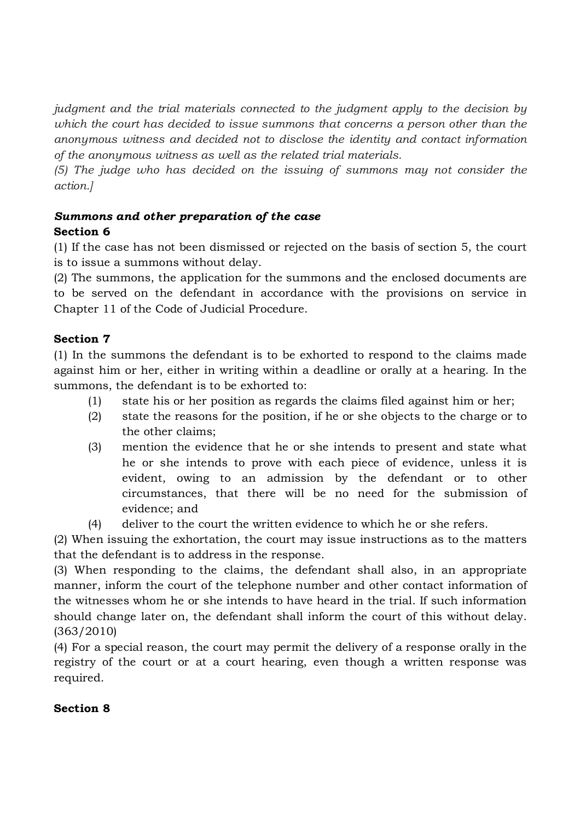*judgment and the trial materials connected to the judgment apply to the decision by which the court has decided to issue summons that concerns a person other than the anonymous witness and decided not to disclose the identity and contact information of the anonymous witness as well as the related trial materials.*

*(5) The judge who has decided on the issuing of summons may not consider the action.]*

### *Summons and other preparation of the case* **Section 6**

(1) If the case has not been dismissed or rejected on the basis of section 5, the court is to issue a summons without delay.

(2) The summons, the application for the summons and the enclosed documents are to be served on the defendant in accordance with the provisions on service in Chapter 11 of the Code of Judicial Procedure.

# **Section 7**

(1) In the summons the defendant is to be exhorted to respond to the claims made against him or her, either in writing within a deadline or orally at a hearing. In the summons, the defendant is to be exhorted to:

- (1) state his or her position as regards the claims filed against him or her;
- (2) state the reasons for the position, if he or she objects to the charge or to the other claims;
- (3) mention the evidence that he or she intends to present and state what he or she intends to prove with each piece of evidence, unless it is evident, owing to an admission by the defendant or to other circumstances, that there will be no need for the submission of evidence; and
- (4) deliver to the court the written evidence to which he or she refers.

(2) When issuing the exhortation, the court may issue instructions as to the matters that the defendant is to address in the response.

(3) When responding to the claims, the defendant shall also, in an appropriate manner, inform the court of the telephone number and other contact information of the witnesses whom he or she intends to have heard in the trial. If such information should change later on, the defendant shall inform the court of this without delay. (363/2010)

(4) For a special reason, the court may permit the delivery of a response orally in the registry of the court or at a court hearing, even though a written response was required.

# **Section 8**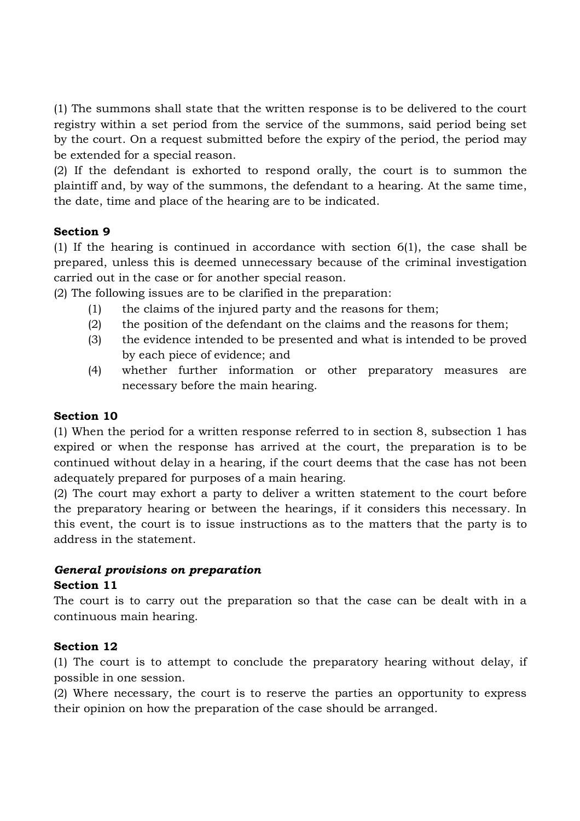(1) The summons shall state that the written response is to be delivered to the court registry within a set period from the service of the summons, said period being set by the court. On a request submitted before the expiry of the period, the period may be extended for a special reason.

(2) If the defendant is exhorted to respond orally, the court is to summon the plaintiff and, by way of the summons, the defendant to a hearing. At the same time, the date, time and place of the hearing are to be indicated.

### **Section 9**

(1) If the hearing is continued in accordance with section 6(1), the case shall be prepared, unless this is deemed unnecessary because of the criminal investigation carried out in the case or for another special reason.

(2) The following issues are to be clarified in the preparation:

- (1) the claims of the injured party and the reasons for them;
- (2) the position of the defendant on the claims and the reasons for them;
- (3) the evidence intended to be presented and what is intended to be proved by each piece of evidence; and
- (4) whether further information or other preparatory measures are necessary before the main hearing.

## **Section 10**

(1) When the period for a written response referred to in section 8, subsection 1 has expired or when the response has arrived at the court, the preparation is to be continued without delay in a hearing, if the court deems that the case has not been adequately prepared for purposes of a main hearing.

(2) The court may exhort a party to deliver a written statement to the court before the preparatory hearing or between the hearings, if it considers this necessary. In this event, the court is to issue instructions as to the matters that the party is to address in the statement.

# *General provisions on preparation*

#### **Section 11**

The court is to carry out the preparation so that the case can be dealt with in a continuous main hearing.

# **Section 12**

(1) The court is to attempt to conclude the preparatory hearing without delay, if possible in one session.

(2) Where necessary, the court is to reserve the parties an opportunity to express their opinion on how the preparation of the case should be arranged.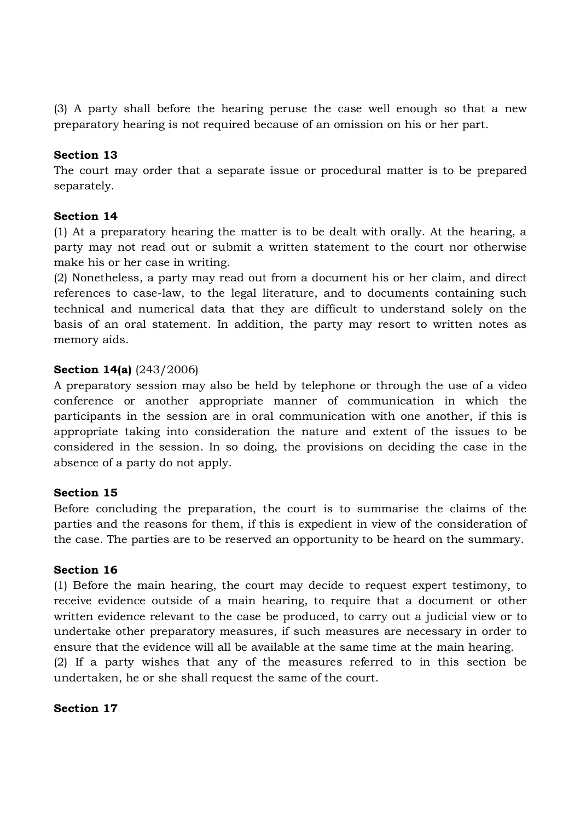(3) A party shall before the hearing peruse the case well enough so that a new preparatory hearing is not required because of an omission on his or her part.

#### **Section 13**

The court may order that a separate issue or procedural matter is to be prepared separately.

### **Section 14**

(1) At a preparatory hearing the matter is to be dealt with orally. At the hearing, a party may not read out or submit a written statement to the court nor otherwise make his or her case in writing.

(2) Nonetheless, a party may read out from a document his or her claim, and direct references to case-law, to the legal literature, and to documents containing such technical and numerical data that they are difficult to understand solely on the basis of an oral statement. In addition, the party may resort to written notes as memory aids.

### **Section 14(a)** (243/2006)

A preparatory session may also be held by telephone or through the use of a video conference or another appropriate manner of communication in which the participants in the session are in oral communication with one another, if this is appropriate taking into consideration the nature and extent of the issues to be considered in the session. In so doing, the provisions on deciding the case in the absence of a party do not apply.

#### **Section 15**

Before concluding the preparation, the court is to summarise the claims of the parties and the reasons for them, if this is expedient in view of the consideration of the case. The parties are to be reserved an opportunity to be heard on the summary.

#### **Section 16**

(1) Before the main hearing, the court may decide to request expert testimony, to receive evidence outside of a main hearing, to require that a document or other written evidence relevant to the case be produced, to carry out a judicial view or to undertake other preparatory measures, if such measures are necessary in order to ensure that the evidence will all be available at the same time at the main hearing. (2) If a party wishes that any of the measures referred to in this section be

undertaken, he or she shall request the same of the court.

#### **Section 17**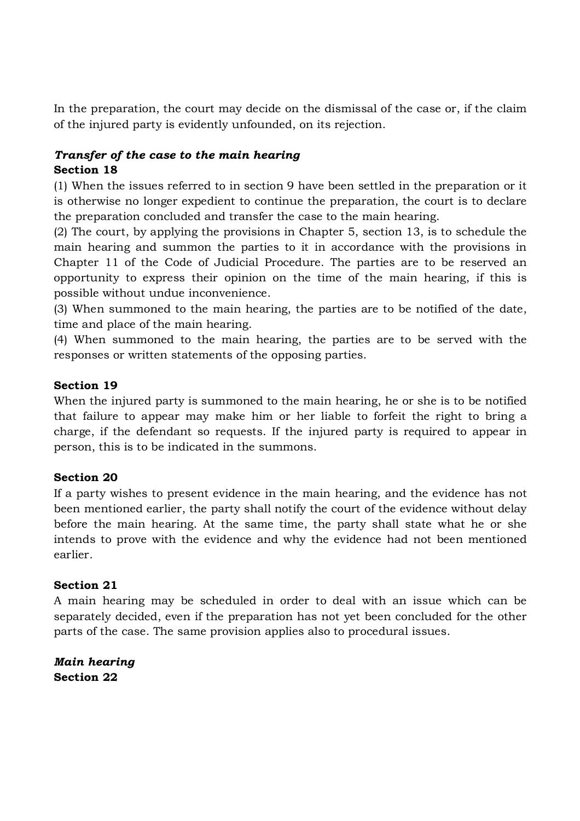In the preparation, the court may decide on the dismissal of the case or, if the claim of the injured party is evidently unfounded, on its rejection.

#### *Transfer of the case to the main hearing* **Section 18**

(1) When the issues referred to in section 9 have been settled in the preparation or it is otherwise no longer expedient to continue the preparation, the court is to declare the preparation concluded and transfer the case to the main hearing.

(2) The court, by applying the provisions in Chapter 5, section 13, is to schedule the main hearing and summon the parties to it in accordance with the provisions in Chapter 11 of the Code of Judicial Procedure. The parties are to be reserved an opportunity to express their opinion on the time of the main hearing, if this is possible without undue inconvenience.

(3) When summoned to the main hearing, the parties are to be notified of the date, time and place of the main hearing.

(4) When summoned to the main hearing, the parties are to be served with the responses or written statements of the opposing parties.

### **Section 19**

When the injured party is summoned to the main hearing, he or she is to be notified that failure to appear may make him or her liable to forfeit the right to bring a charge, if the defendant so requests. If the injured party is required to appear in person, this is to be indicated in the summons.

# **Section 20**

If a party wishes to present evidence in the main hearing, and the evidence has not been mentioned earlier, the party shall notify the court of the evidence without delay before the main hearing. At the same time, the party shall state what he or she intends to prove with the evidence and why the evidence had not been mentioned earlier.

#### **Section 21**

A main hearing may be scheduled in order to deal with an issue which can be separately decided, even if the preparation has not yet been concluded for the other parts of the case. The same provision applies also to procedural issues.

*Main hearing* **Section 22**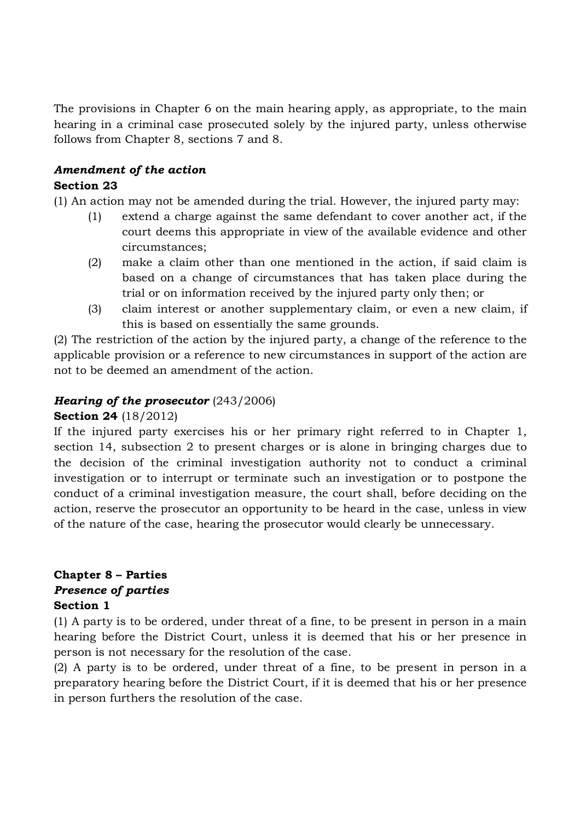The provisions in Chapter 6 on the main hearing apply, as appropriate, to the main hearing in a criminal case prosecuted solely by the injured party, unless otherwise follows from Chapter 8, sections 7 and 8.

#### *Amendment of the action* **Section 23**

(1) An action may not be amended during the trial. However, the injured party may:

- (1) extend a charge against the same defendant to cover another act, if the court deems this appropriate in view of the available evidence and other circumstances;
- (2) make a claim other than one mentioned in the action, if said claim is based on a change of circumstances that has taken place during the trial or on information received by the injured party only then; or
- (3) claim interest or another supplementary claim, or even a new claim, if this is based on essentially the same grounds.

(2) The restriction of the action by the injured party, a change of the reference to the applicable provision or a reference to new circumstances in support of the action are not to be deemed an amendment of the action.

# *Hearing of the prosecutor* (243/2006)

#### **Section 24** (18/2012)

If the injured party exercises his or her primary right referred to in Chapter 1, section 14, subsection 2 to present charges or is alone in bringing charges due to the decision of the criminal investigation authority not to conduct a criminal investigation or to interrupt or terminate such an investigation or to postpone the conduct of a criminal investigation measure, the court shall, before deciding on the action, reserve the prosecutor an opportunity to be heard in the case, unless in view of the nature of the case, hearing the prosecutor would clearly be unnecessary.

### **Chapter 8 – Parties** *Presence of parties* **Section 1**

(1) A party is to be ordered, under threat of a fine, to be present in person in a main hearing before the District Court, unless it is deemed that his or her presence in person is not necessary for the resolution of the case.

(2) A party is to be ordered, under threat of a fine, to be present in person in a preparatory hearing before the District Court, if it is deemed that his or her presence in person furthers the resolution of the case.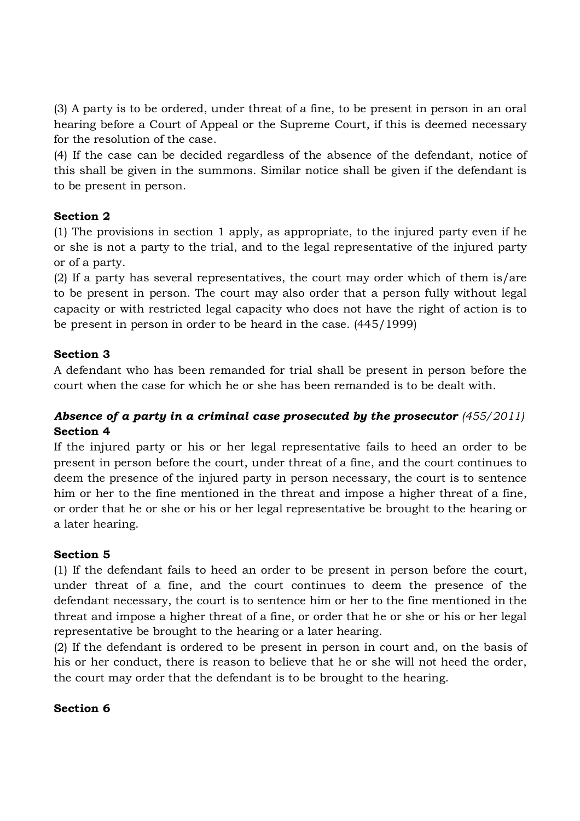(3) A party is to be ordered, under threat of a fine, to be present in person in an oral hearing before a Court of Appeal or the Supreme Court, if this is deemed necessary for the resolution of the case.

(4) If the case can be decided regardless of the absence of the defendant, notice of this shall be given in the summons. Similar notice shall be given if the defendant is to be present in person.

# **Section 2**

(1) The provisions in section 1 apply, as appropriate, to the injured party even if he or she is not a party to the trial, and to the legal representative of the injured party or of a party.

(2) If a party has several representatives, the court may order which of them is/are to be present in person. The court may also order that a person fully without legal capacity or with restricted legal capacity who does not have the right of action is to be present in person in order to be heard in the case. (445/1999)

### **Section 3**

A defendant who has been remanded for trial shall be present in person before the court when the case for which he or she has been remanded is to be dealt with.

# Absence of a party in a criminal case prosecuted by the prosecutor  $(455/2011)$ **Section 4**

If the injured party or his or her legal representative fails to heed an order to be present in person before the court, under threat of a fine, and the court continues to deem the presence of the injured party in person necessary, the court is to sentence him or her to the fine mentioned in the threat and impose a higher threat of a fine, or order that he or she or his or her legal representative be brought to the hearing or a later hearing.

#### **Section 5**

(1) If the defendant fails to heed an order to be present in person before the court, under threat of a fine, and the court continues to deem the presence of the defendant necessary, the court is to sentence him or her to the fine mentioned in the threat and impose a higher threat of a fine, or order that he or she or his or her legal representative be brought to the hearing or a later hearing.

(2) If the defendant is ordered to be present in person in court and, on the basis of his or her conduct, there is reason to believe that he or she will not heed the order, the court may order that the defendant is to be brought to the hearing.

#### **Section 6**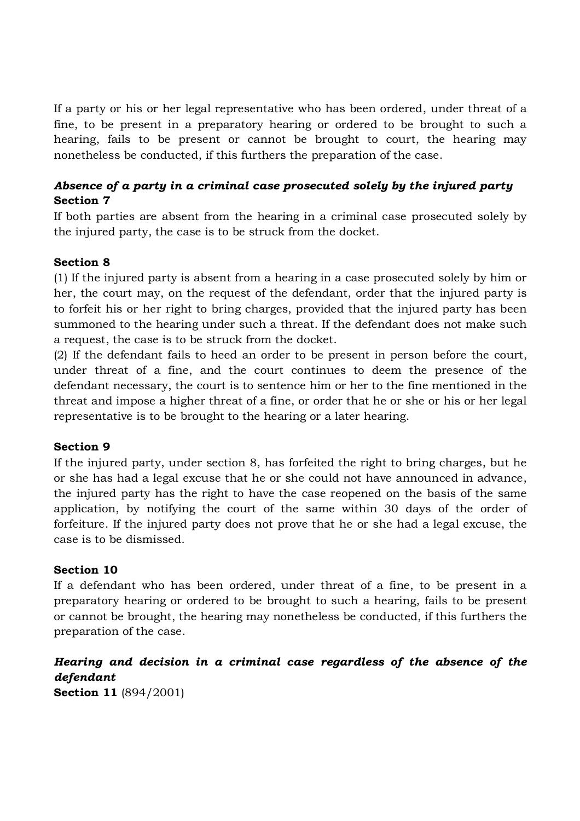If a party or his or her legal representative who has been ordered, under threat of a fine, to be present in a preparatory hearing or ordered to be brought to such a hearing, fails to be present or cannot be brought to court, the hearing may nonetheless be conducted, if this furthers the preparation of the case.

# *Absence of a party in a criminal case prosecuted solely by the injured party* **Section 7**

If both parties are absent from the hearing in a criminal case prosecuted solely by the injured party, the case is to be struck from the docket.

### **Section 8**

(1) If the injured party is absent from a hearing in a case prosecuted solely by him or her, the court may, on the request of the defendant, order that the injured party is to forfeit his or her right to bring charges, provided that the injured party has been summoned to the hearing under such a threat. If the defendant does not make such a request, the case is to be struck from the docket.

(2) If the defendant fails to heed an order to be present in person before the court, under threat of a fine, and the court continues to deem the presence of the defendant necessary, the court is to sentence him or her to the fine mentioned in the threat and impose a higher threat of a fine, or order that he or she or his or her legal representative is to be brought to the hearing or a later hearing.

#### **Section 9**

If the injured party, under section 8, has forfeited the right to bring charges, but he or she has had a legal excuse that he or she could not have announced in advance, the injured party has the right to have the case reopened on the basis of the same application, by notifying the court of the same within 30 days of the order of forfeiture. If the injured party does not prove that he or she had a legal excuse, the case is to be dismissed.

#### **Section 10**

If a defendant who has been ordered, under threat of a fine, to be present in a preparatory hearing or ordered to be brought to such a hearing, fails to be present or cannot be brought, the hearing may nonetheless be conducted, if this furthers the preparation of the case.

# *Hearing and decision in a criminal case regardless of the absence of the defendant*

**Section 11** (894/2001)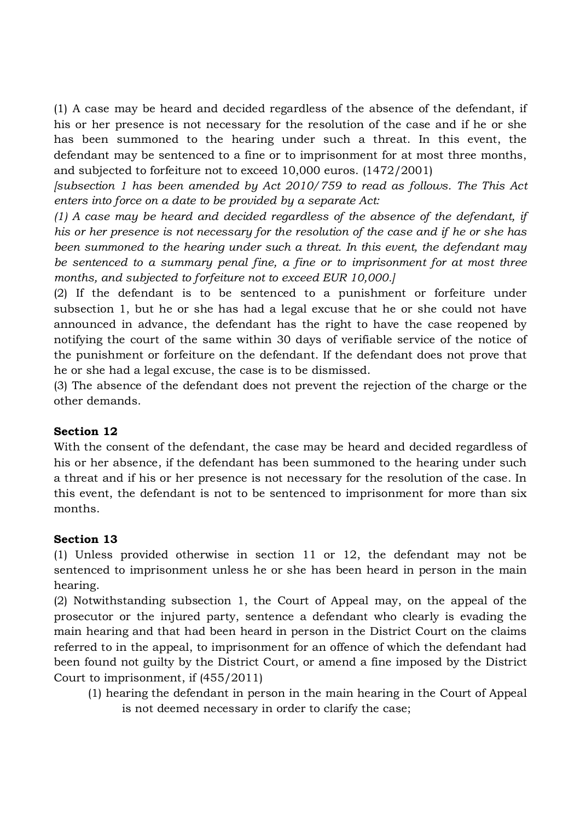(1) A case may be heard and decided regardless of the absence of the defendant, if his or her presence is not necessary for the resolution of the case and if he or she has been summoned to the hearing under such a threat. In this event, the defendant may be sentenced to a fine or to imprisonment for at most three months, and subjected to forfeiture not to exceed 10,000 euros. (1472/2001)

*[subsection 1 has been amended by Act 2010/759 to read as follows. The This Act enters into force on a date to be provided by a separate Act:*

*(1) A case may be heard and decided regardless of the absence of the defendant, if his or her presence is not necessary for the resolution of the case and if he or she has been summoned to the hearing under such a threat. In this event, the defendant may be sentenced to a summary penal fine, a fine or to imprisonment for at most three months, and subjected to forfeiture not to exceed EUR 10,000.]*

(2) If the defendant is to be sentenced to a punishment or forfeiture under subsection 1, but he or she has had a legal excuse that he or she could not have announced in advance, the defendant has the right to have the case reopened by notifying the court of the same within 30 days of verifiable service of the notice of the punishment or forfeiture on the defendant. If the defendant does not prove that he or she had a legal excuse, the case is to be dismissed.

(3) The absence of the defendant does not prevent the rejection of the charge or the other demands.

# **Section 12**

With the consent of the defendant, the case may be heard and decided regardless of his or her absence, if the defendant has been summoned to the hearing under such a threat and if his or her presence is not necessary for the resolution of the case. In this event, the defendant is not to be sentenced to imprisonment for more than six months.

# **Section 13**

(1) Unless provided otherwise in section 11 or 12, the defendant may not be sentenced to imprisonment unless he or she has been heard in person in the main hearing.

(2) Notwithstanding subsection 1, the Court of Appeal may, on the appeal of the prosecutor or the injured party, sentence a defendant who clearly is evading the main hearing and that had been heard in person in the District Court on the claims referred to in the appeal, to imprisonment for an offence of which the defendant had been found not guilty by the District Court, or amend a fine imposed by the District Court to imprisonment, if (455/2011)

(1) hearing the defendant in person in the main hearing in the Court of Appeal is not deemed necessary in order to clarify the case;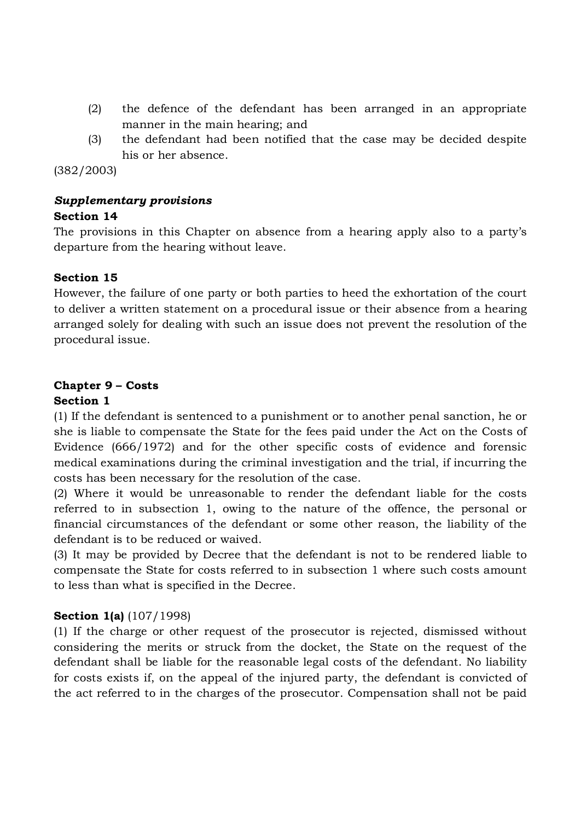- (2) the defence of the defendant has been arranged in an appropriate manner in the main hearing; and
- (3) the defendant had been notified that the case may be decided despite his or her absence.

(382/2003)

# *Supplementary provisions*

#### **Section 14**

The provisions in this Chapter on absence from a hearing apply also to a party's departure from the hearing without leave.

### **Section 15**

However, the failure of one party or both parties to heed the exhortation of the court to deliver a written statement on a procedural issue or their absence from a hearing arranged solely for dealing with such an issue does not prevent the resolution of the procedural issue.

# **Chapter 9 – Costs**

### **Section 1**

(1) If the defendant is sentenced to a punishment or to another penal sanction, he or she is liable to compensate the State for the fees paid under the Act on the Costs of Evidence (666/1972) and for the other specific costs of evidence and forensic medical examinations during the criminal investigation and the trial, if incurring the costs has been necessary for the resolution of the case.

(2) Where it would be unreasonable to render the defendant liable for the costs referred to in subsection 1, owing to the nature of the offence, the personal or financial circumstances of the defendant or some other reason, the liability of the defendant is to be reduced or waived.

(3) It may be provided by Decree that the defendant is not to be rendered liable to compensate the State for costs referred to in subsection 1 where such costs amount to less than what is specified in the Decree.

#### **Section 1(a)** (107/1998)

(1) If the charge or other request of the prosecutor is rejected, dismissed without considering the merits or struck from the docket, the State on the request of the defendant shall be liable for the reasonable legal costs of the defendant. No liability for costs exists if, on the appeal of the injured party, the defendant is convicted of the act referred to in the charges of the prosecutor. Compensation shall not be paid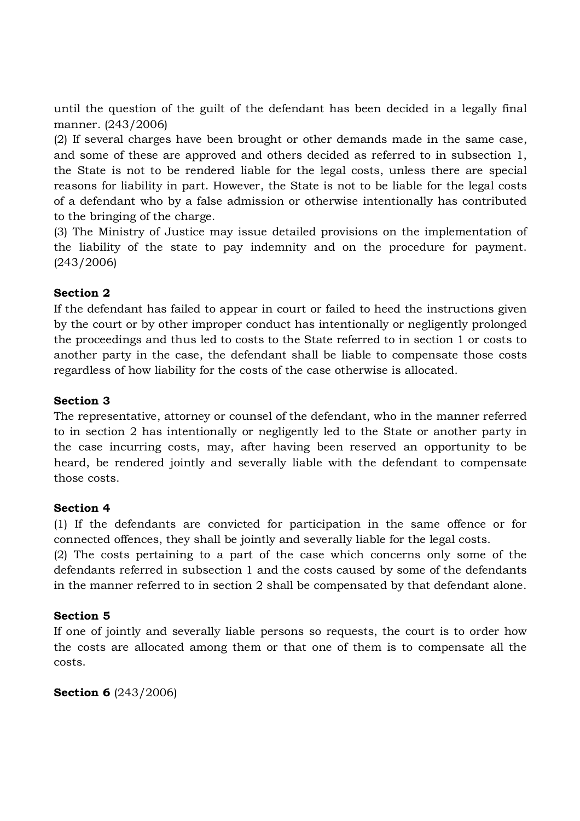until the question of the guilt of the defendant has been decided in a legally final manner. (243/2006)

(2) If several charges have been brought or other demands made in the same case, and some of these are approved and others decided as referred to in subsection 1, the State is not to be rendered liable for the legal costs, unless there are special reasons for liability in part. However, the State is not to be liable for the legal costs of a defendant who by a false admission or otherwise intentionally has contributed to the bringing of the charge.

(3) The Ministry of Justice may issue detailed provisions on the implementation of the liability of the state to pay indemnity and on the procedure for payment. (243/2006)

# **Section 2**

If the defendant has failed to appear in court or failed to heed the instructions given by the court or by other improper conduct has intentionally or negligently prolonged the proceedings and thus led to costs to the State referred to in section 1 or costs to another party in the case, the defendant shall be liable to compensate those costs regardless of how liability for the costs of the case otherwise is allocated.

# **Section 3**

The representative, attorney or counsel of the defendant, who in the manner referred to in section 2 has intentionally or negligently led to the State or another party in the case incurring costs, may, after having been reserved an opportunity to be heard, be rendered jointly and severally liable with the defendant to compensate those costs.

#### **Section 4**

(1) If the defendants are convicted for participation in the same offence or for connected offences, they shall be jointly and severally liable for the legal costs.

(2) The costs pertaining to a part of the case which concerns only some of the defendants referred in subsection 1 and the costs caused by some of the defendants in the manner referred to in section 2 shall be compensated by that defendant alone.

# **Section 5**

If one of jointly and severally liable persons so requests, the court is to order how the costs are allocated among them or that one of them is to compensate all the costs.

**Section 6** (243/2006)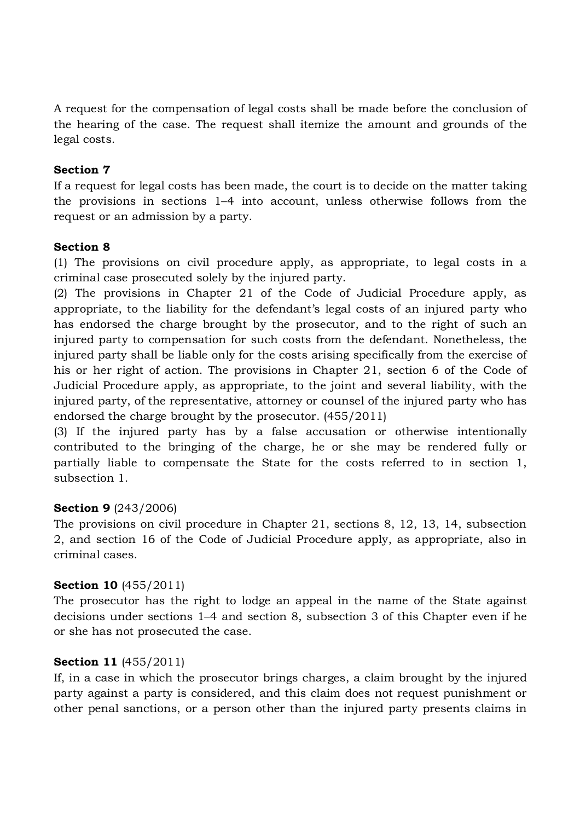A request for the compensation of legal costs shall be made before the conclusion of the hearing of the case. The request shall itemize the amount and grounds of the legal costs.

## **Section 7**

If a request for legal costs has been made, the court is to decide on the matter taking the provisions in sections 1–4 into account, unless otherwise follows from the request or an admission by a party.

#### **Section 8**

(1) The provisions on civil procedure apply, as appropriate, to legal costs in a criminal case prosecuted solely by the injured party.

(2) The provisions in Chapter 21 of the Code of Judicial Procedure apply, as appropriate, to the liability for the defendant's legal costs of an injured party who has endorsed the charge brought by the prosecutor, and to the right of such an injured party to compensation for such costs from the defendant. Nonetheless, the injured party shall be liable only for the costs arising specifically from the exercise of his or her right of action. The provisions in Chapter 21, section 6 of the Code of Judicial Procedure apply, as appropriate, to the joint and several liability, with the injured party, of the representative, attorney or counsel of the injured party who has endorsed the charge brought by the prosecutor. (455/2011)

(3) If the injured party has by a false accusation or otherwise intentionally contributed to the bringing of the charge, he or she may be rendered fully or partially liable to compensate the State for the costs referred to in section 1, subsection 1.

# **Section 9** (243/2006)

The provisions on civil procedure in Chapter 21, sections 8, 12, 13, 14, subsection 2, and section 16 of the Code of Judicial Procedure apply, as appropriate, also in criminal cases.

#### **Section 10** (455/2011)

The prosecutor has the right to lodge an appeal in the name of the State against decisions under sections 1–4 and section 8, subsection 3 of this Chapter even if he or she has not prosecuted the case.

#### **Section 11** (455/2011)

If, in a case in which the prosecutor brings charges, a claim brought by the injured party against a party is considered, and this claim does not request punishment or other penal sanctions, or a person other than the injured party presents claims in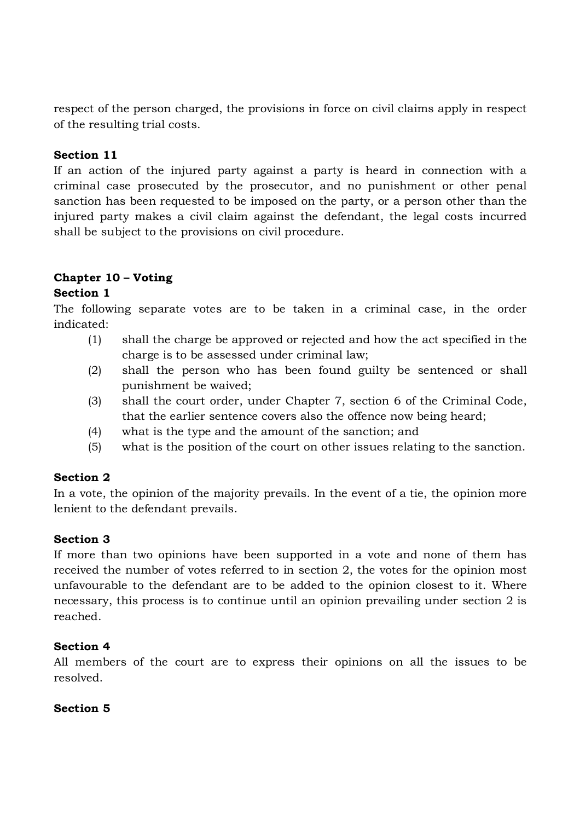respect of the person charged, the provisions in force on civil claims apply in respect of the resulting trial costs.

### **Section 11**

If an action of the injured party against a party is heard in connection with a criminal case prosecuted by the prosecutor, and no punishment or other penal sanction has been requested to be imposed on the party, or a person other than the injured party makes a civil claim against the defendant, the legal costs incurred shall be subject to the provisions on civil procedure.

# **Chapter 10 – Voting**

### **Section 1**

The following separate votes are to be taken in a criminal case, in the order indicated:

- (1) shall the charge be approved or rejected and how the act specified in the charge is to be assessed under criminal law;
- (2) shall the person who has been found guilty be sentenced or shall punishment be waived;
- (3) shall the court order, under Chapter 7, section 6 of the Criminal Code, that the earlier sentence covers also the offence now being heard;
- (4) what is the type and the amount of the sanction; and
- (5) what is the position of the court on other issues relating to the sanction.

# **Section 2**

In a vote, the opinion of the majority prevails. In the event of a tie, the opinion more lenient to the defendant prevails.

#### **Section 3**

If more than two opinions have been supported in a vote and none of them has received the number of votes referred to in section 2, the votes for the opinion most unfavourable to the defendant are to be added to the opinion closest to it. Where necessary, this process is to continue until an opinion prevailing under section 2 is reached.

#### **Section 4**

All members of the court are to express their opinions on all the issues to be resolved.

#### **Section 5**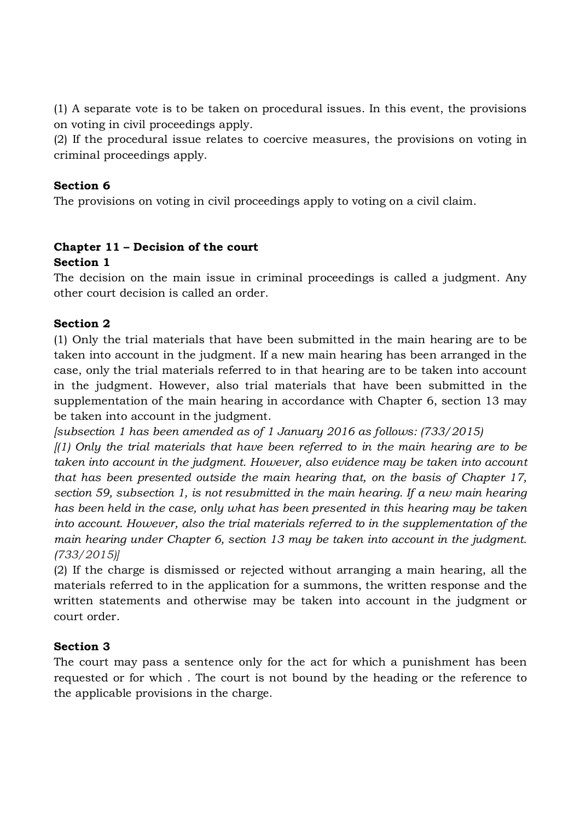(1) A separate vote is to be taken on procedural issues. In this event, the provisions on voting in civil proceedings apply.

(2) If the procedural issue relates to coercive measures, the provisions on voting in criminal proceedings apply.

## **Section 6**

The provisions on voting in civil proceedings apply to voting on a civil claim.

### **Chapter 11 – Decision of the court Section 1**

The decision on the main issue in criminal proceedings is called a judgment. Any other court decision is called an order.

# **Section 2**

(1) Only the trial materials that have been submitted in the main hearing are to be taken into account in the judgment. If a new main hearing has been arranged in the case, only the trial materials referred to in that hearing are to be taken into account in the judgment. However, also trial materials that have been submitted in the supplementation of the main hearing in accordance with Chapter 6, section 13 may be taken into account in the judgment.

*[subsection 1 has been amended as of 1 January 2016 as follows: (733/2015)*

*[(1) Only the trial materials that have been referred to in the main hearing are to be taken into account in the judgment. However, also evidence may be taken into account that has been presented outside the main hearing that, on the basis of Chapter 17, section 59, subsection 1, is not resubmitted in the main hearing. If a new main hearing has been held in the case, only what has been presented in this hearing may be taken into account. However, also the trial materials referred to in the supplementation of the main hearing under Chapter 6, section 13 may be taken into account in the judgment. (733/2015)]*

(2) If the charge is dismissed or rejected without arranging a main hearing, all the materials referred to in the application for a summons, the written response and the written statements and otherwise may be taken into account in the judgment or court order.

# **Section 3**

The court may pass a sentence only for the act for which a punishment has been requested or for which . The court is not bound by the heading or the reference to the applicable provisions in the charge.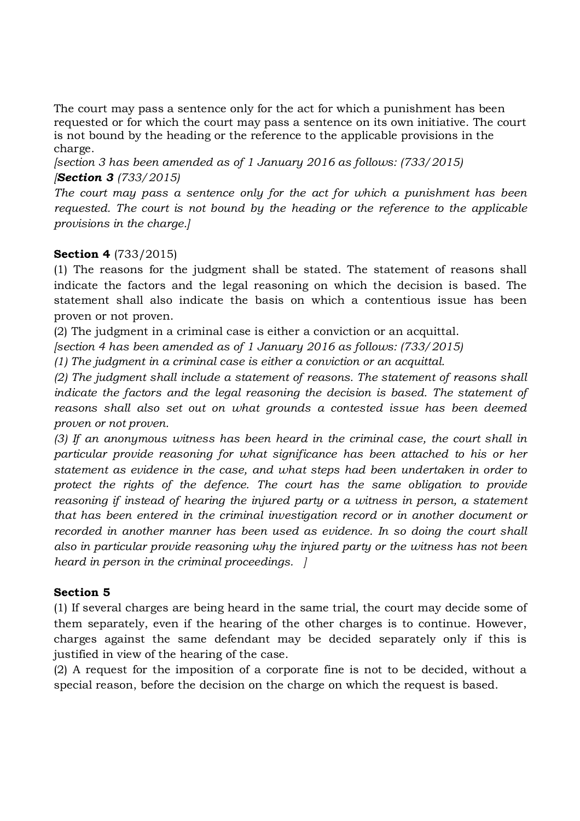The court may pass a sentence only for the act for which a punishment has been requested or for which the court may pass a sentence on its own initiative. The court is not bound by the heading or the reference to the applicable provisions in the charge.

*[section 3 has been amended as of 1 January 2016 as follows: (733/2015) [Section 3 (733/2015)*

*The court may pass a sentence only for the act for which a punishment has been requested. The court is not bound by the heading or the reference to the applicable provisions in the charge.]*

# **Section 4** (733/2015)

(1) The reasons for the judgment shall be stated. The statement of reasons shall indicate the factors and the legal reasoning on which the decision is based. The statement shall also indicate the basis on which a contentious issue has been proven or not proven.

(2) The judgment in a criminal case is either a conviction or an acquittal.

*[section 4 has been amended as of 1 January 2016 as follows: (733/2015)*

*(1) The judgment in a criminal case is either a conviction or an acquittal.*

*(2) The judgment shall include a statement of reasons. The statement of reasons shall indicate the factors and the legal reasoning the decision is based. The statement of reasons shall also set out on what grounds a contested issue has been deemed proven or not proven.*

*(3) If an anonymous witness has been heard in the criminal case, the court shall in particular provide reasoning for what significance has been attached to his or her statement as evidence in the case, and what steps had been undertaken in order to protect the rights of the defence. The court has the same obligation to provide reasoning if instead of hearing the injured party or a witness in person, a statement that has been entered in the criminal investigation record or in another document or recorded in another manner has been used as evidence. In so doing the court shall also in particular provide reasoning why the injured party or the witness has not been heard in person in the criminal proceedings. ]*

# **Section 5**

(1) If several charges are being heard in the same trial, the court may decide some of them separately, even if the hearing of the other charges is to continue. However, charges against the same defendant may be decided separately only if this is justified in view of the hearing of the case.

(2) A request for the imposition of a corporate fine is not to be decided, without a special reason, before the decision on the charge on which the request is based.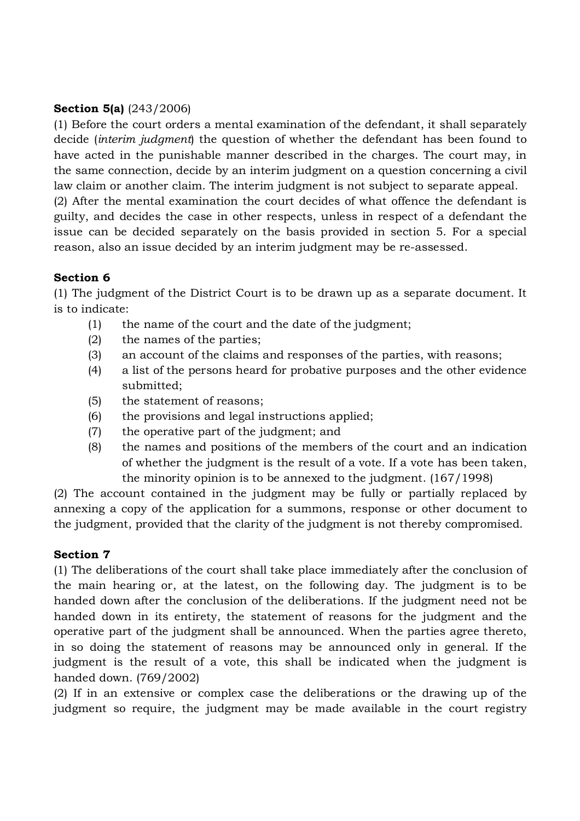### **Section 5(a)** (243/2006)

(1) Before the court orders a mental examination of the defendant, it shall separately decide (*interim judgment*) the question of whether the defendant has been found to have acted in the punishable manner described in the charges. The court may, in the same connection, decide by an interim judgment on a question concerning a civil law claim or another claim. The interim judgment is not subject to separate appeal.

(2) After the mental examination the court decides of what offence the defendant is guilty, and decides the case in other respects, unless in respect of a defendant the issue can be decided separately on the basis provided in section 5. For a special reason, also an issue decided by an interim judgment may be re-assessed.

### **Section 6**

(1) The judgment of the District Court is to be drawn up as a separate document. It is to indicate:

- (1) the name of the court and the date of the judgment;
- (2) the names of the parties;
- (3) an account of the claims and responses of the parties, with reasons;
- (4) a list of the persons heard for probative purposes and the other evidence submitted;
- (5) the statement of reasons;
- (6) the provisions and legal instructions applied;
- (7) the operative part of the judgment; and
- (8) the names and positions of the members of the court and an indication of whether the judgment is the result of a vote. If a vote has been taken, the minority opinion is to be annexed to the judgment. (167/1998)

(2) The account contained in the judgment may be fully or partially replaced by annexing a copy of the application for a summons, response or other document to the judgment, provided that the clarity of the judgment is not thereby compromised.

# **Section 7**

(1) The deliberations of the court shall take place immediately after the conclusion of the main hearing or, at the latest, on the following day. The judgment is to be handed down after the conclusion of the deliberations. If the judgment need not be handed down in its entirety, the statement of reasons for the judgment and the operative part of the judgment shall be announced. When the parties agree thereto, in so doing the statement of reasons may be announced only in general. If the judgment is the result of a vote, this shall be indicated when the judgment is handed down. (769/2002)

(2) If in an extensive or complex case the deliberations or the drawing up of the judgment so require, the judgment may be made available in the court registry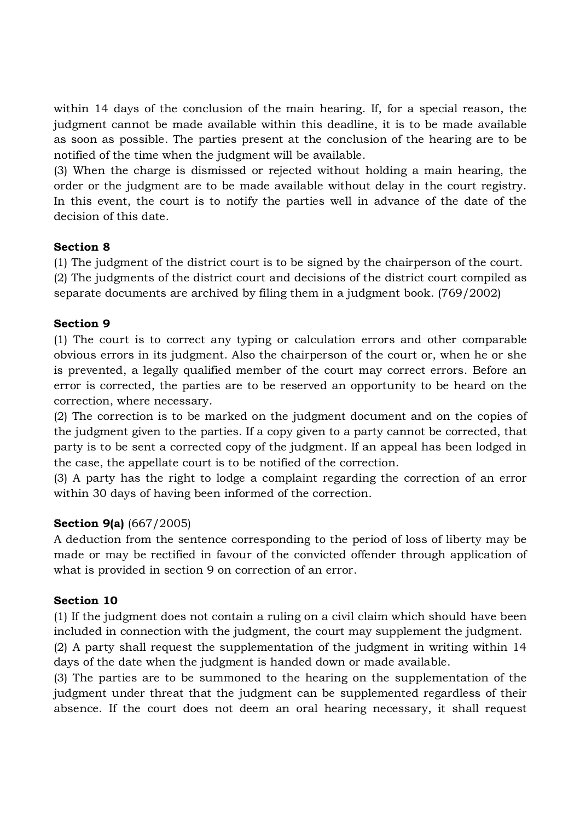within 14 days of the conclusion of the main hearing. If, for a special reason, the judgment cannot be made available within this deadline, it is to be made available as soon as possible. The parties present at the conclusion of the hearing are to be notified of the time when the judgment will be available.

(3) When the charge is dismissed or rejected without holding a main hearing, the order or the judgment are to be made available without delay in the court registry. In this event, the court is to notify the parties well in advance of the date of the decision of this date.

### **Section 8**

(1) The judgment of the district court is to be signed by the chairperson of the court.

(2) The judgments of the district court and decisions of the district court compiled as separate documents are archived by filing them in a judgment book. (769/2002)

# **Section 9**

(1) The court is to correct any typing or calculation errors and other comparable obvious errors in its judgment. Also the chairperson of the court or, when he or she is prevented, a legally qualified member of the court may correct errors. Before an error is corrected, the parties are to be reserved an opportunity to be heard on the correction, where necessary.

(2) The correction is to be marked on the judgment document and on the copies of the judgment given to the parties. If a copy given to a party cannot be corrected, that party is to be sent a corrected copy of the judgment. If an appeal has been lodged in the case, the appellate court is to be notified of the correction.

(3) A party has the right to lodge a complaint regarding the correction of an error within 30 days of having been informed of the correction.

# **Section 9(a)** (667/2005)

A deduction from the sentence corresponding to the period of loss of liberty may be made or may be rectified in favour of the convicted offender through application of what is provided in section 9 on correction of an error.

# **Section 10**

(1) If the judgment does not contain a ruling on a civil claim which should have been included in connection with the judgment, the court may supplement the judgment.

(2) A party shall request the supplementation of the judgment in writing within 14 days of the date when the judgment is handed down or made available.

(3) The parties are to be summoned to the hearing on the supplementation of the judgment under threat that the judgment can be supplemented regardless of their absence. If the court does not deem an oral hearing necessary, it shall request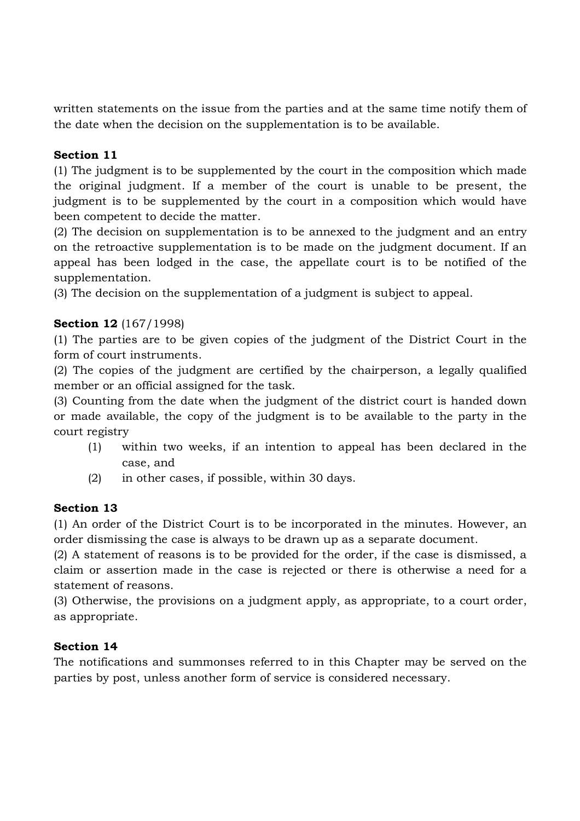written statements on the issue from the parties and at the same time notify them of the date when the decision on the supplementation is to be available.

# **Section 11**

(1) The judgment is to be supplemented by the court in the composition which made the original judgment. If a member of the court is unable to be present, the judgment is to be supplemented by the court in a composition which would have been competent to decide the matter.

(2) The decision on supplementation is to be annexed to the judgment and an entry on the retroactive supplementation is to be made on the judgment document. If an appeal has been lodged in the case, the appellate court is to be notified of the supplementation.

(3) The decision on the supplementation of a judgment is subject to appeal.

# **Section 12** (167/1998)

(1) The parties are to be given copies of the judgment of the District Court in the form of court instruments.

(2) The copies of the judgment are certified by the chairperson, a legally qualified member or an official assigned for the task.

(3) Counting from the date when the judgment of the district court is handed down or made available, the copy of the judgment is to be available to the party in the court registry

- (1) within two weeks, if an intention to appeal has been declared in the case, and
- (2) in other cases, if possible, within 30 days.

# **Section 13**

(1) An order of the District Court is to be incorporated in the minutes. However, an order dismissing the case is always to be drawn up as a separate document.

(2) A statement of reasons is to be provided for the order, if the case is dismissed, a claim or assertion made in the case is rejected or there is otherwise a need for a statement of reasons.

(3) Otherwise, the provisions on a judgment apply, as appropriate, to a court order, as appropriate.

# **Section 14**

The notifications and summonses referred to in this Chapter may be served on the parties by post, unless another form of service is considered necessary.